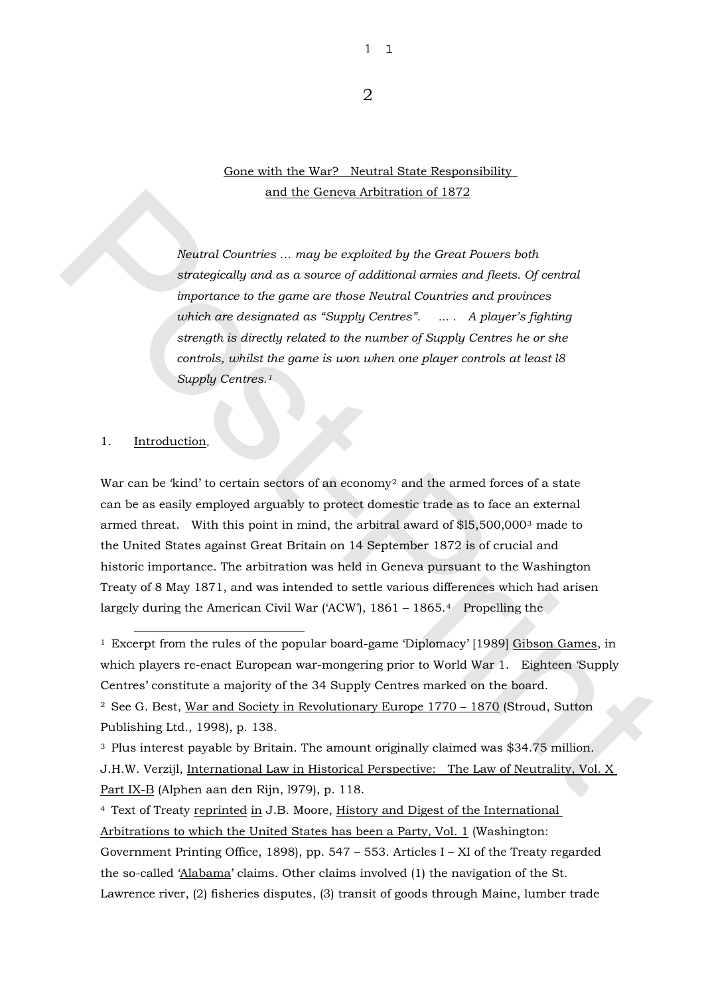# Gone with the War? Neutral State Responsibility and the Geneva Arbitration of 1872

*Neutral Countries … may be exploited by the Great Powers both strategically and as a source of additional armies and fleets. Of central importance to the game are those Neutral Countries and provinces which are designated as "Supply Centres". ... . A player's fighting strength is directly related to the number of Supply Centres he or she controls, whilst the game is won when one player controls at least l8 Supply Centres.1*

### 1. Introduction.

War can be 'kind' to certain sectors of an economy<sup>2</sup> and the armed forces of a state can be as easily employed arguably to protect domestic trade as to face an external armed threat. With this point in mind, the arbitral award of \$l5,500,0003 made to the United States against Great Britain on 14 September 1872 is of crucial and historic importance. The arbitration was held in Geneva pursuant to the Washington Treaty of 8 May 1871, and was intended to settle various differences which had arisen largely during the American Civil War ('ACW'),  $1861 - 1865$ <sup>4</sup> Propelling the and the Genera Achitration of 1872<br>
Neutral Countrie[s](#page-0-0) ... may be exploited by the Great [P](#page-0-1)otents both<b[r](#page-0-3)>
strategically and as a source of additional armies and fleets. Of central<br>
importance to the game are those Neutral Cou

<span id="page-0-0"></span> 1 Excerpt from the rules of the popular board-game 'Diplomacy' [1989] Gibson Games, in which players re-enact European war-mongering prior to World War 1. Eighteen 'Supply Centres' constitute a majority of the 34 Supply Centres marked on the board.

<span id="page-0-3"></span>4 Text of Treaty reprinted in J.B. Moore, History and Digest of the International Arbitrations to which the United States has been a Party, Vol. 1 (Washington: Government Printing Office, 1898), pp. 547 – 553. Articles I – XI of the Treaty regarded the so-called 'Alabama' claims. Other claims involved (1) the navigation of the St. Lawrence river, (2) fisheries disputes, (3) transit of goods through Maine, lumber trade

1 1

<span id="page-0-1"></span><sup>2</sup> See G. Best, War and Society in Revolutionary Europe 1770 – 1870 (Stroud, Sutton Publishing Ltd., 1998), p. 138.

<span id="page-0-2"></span><sup>3</sup> Plus interest payable by Britain. The amount originally claimed was \$34.75 million. J.H.W. Verzijl, International Law in Historical Perspective: The Law of Neutrality, Vol. X Part IX-B (Alphen aan den Rijn, l979), p. 118.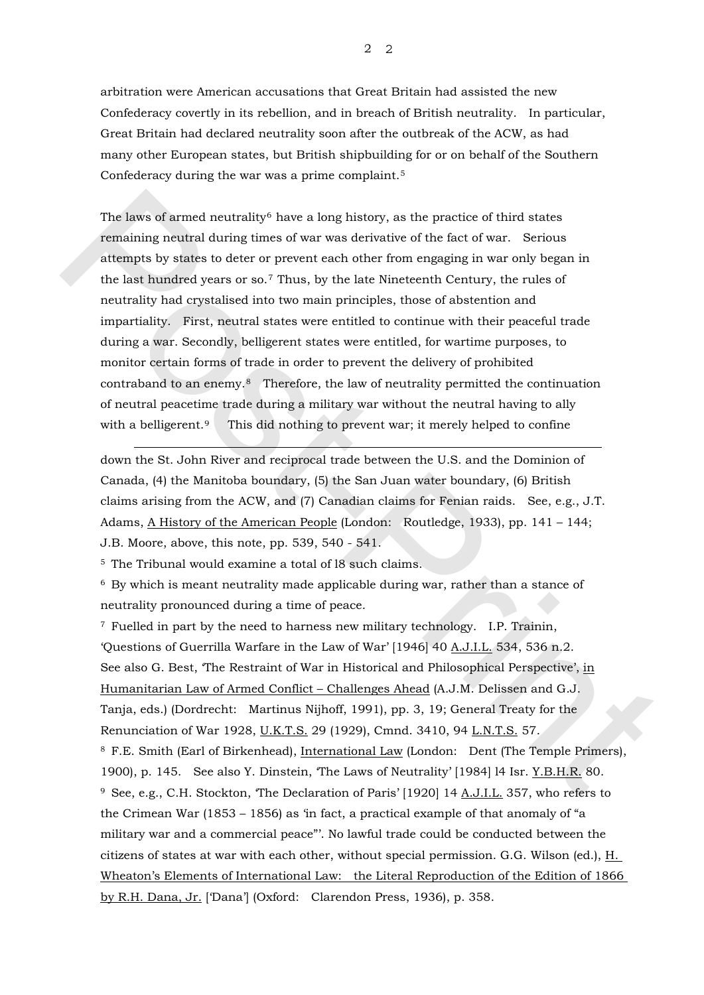arbitration were American accusations that Great Britain had assisted the new Confederacy covertly in its rebellion, and in breach of British neutrality. In particular, Great Britain had declared neutrality soon after the outbreak of the ACW, as had many other European states, but British shipbuilding for or on behalf of the Southern Confederacy during the war was a prime complaint.<sup>[5](#page-1-0)</sup>

The laws of armed neutrality<sup>6</sup> have a long history, as the practice of third states remaining neutral during times of war was derivative of the fact of war. Serious attempts by states to deter or prevent each other from engaging in war only began in the last hundred years or so.7 Thus, by the late Nineteenth Century, the rules of neutrality had crystalised into two main principles, those of abstention and impartiality. First, neutral states were entitled to continue with their peaceful trade during a war. Secondly, belligerent states were entitled, for wartime purposes, to monitor certain forms of trade in order to prevent the delivery of prohibited contraband to an enemy.8 Therefore, the law of neutrality permitted the continuation of neutral peacetime trade during a military war without the neutral having to ally with a belligerent.<sup>9</sup> This did nothing to prevent war; it merely helped to confine The laws [o](#page-1-3)f area[s](#page-1-4)ed ecutrality's have a loog history, as the practice of third states<br>remaining neutral during times of war was derivative of the fact of war. Scribus<br>attempts by states to deter or prevent each other from

down the St. John River and reciprocal trade between the U.S. and the Dominion of Canada, (4) the Manitoba boundary, (5) the San Juan water boundary, (6) British claims arising from the ACW, and (7) Canadian claims for Fenian raids. See, e.g., J.T. Adams, A History of the American People (London: Routledge, 1933), pp. 141 – 144; J.B. Moore, above, this note, pp. 539, 540 - 541.

<span id="page-1-0"></span>5 The Tribunal would examine a total of l8 such claims.

 $\overline{a}$ 

<span id="page-1-1"></span> $6\,$  By which is meant neutrality made applicable during war, rather than a stance of neutrality pronounced during a time of peace.

<span id="page-1-4"></span><span id="page-1-3"></span><span id="page-1-2"></span>7 Fuelled in part by the need to harness new military technology. I.P. Trainin, 'Questions of Guerrilla Warfare in the Law of War' [1946] 40 A.J.I.L. 534, 536 n.2. See also G. Best, 'The Restraint of War in Historical and Philosophical Perspective', in Humanitarian Law of Armed Conflict – Challenges Ahead (A.J.M. Delissen and G.J. Tanja, eds.) (Dordrecht: Martinus Nijhoff, 1991), pp. 3, 19; General Treaty for the Renunciation of War 1928, U.K.T.S. 29 (1929), Cmnd. 3410, 94 L.N.T.S. 57. 8 F.E. Smith (Earl of Birkenhead), International Law (London: Dent (The Temple Primers), 1900), p. 145. See also Y. Dinstein, 'The Laws of Neutrality' [1984] l4 Isr. Y.B.H.R. 80. 9 See, e.g., C.H. Stockton, 'The Declaration of Paris' [1920] 14 A.J.I.L. 357, who refers to the Crimean War (1853 – 1856) as 'in fact, a practical example of that anomaly of "a military war and a commercial peace"'. No lawful trade could be conducted between the citizens of states at war with each other, without special permission. G.G. Wilson (ed.),  $H.$ Wheaton's Elements of International Law: the Literal Reproduction of the Edition of 1866 by R.H. Dana, Jr. ['Dana'] (Oxford: Clarendon Press, 1936), p. 358.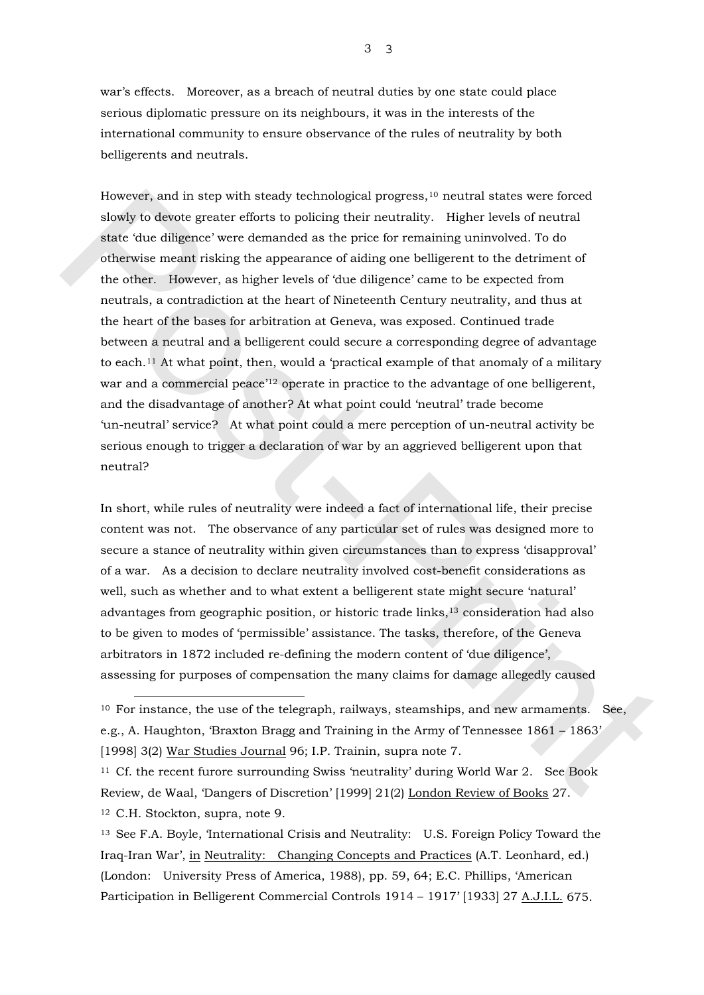war's effects. Moreover, as a breach of neutral duties by one state could place serious diplomatic pressure on its neighbours, it was in the interests of the international community to ensure observance of the rules of neutrality by both belligerents and neutrals.

However, and in step with steady technological progress,  $10$  neutral states were forced slowly to devote greater efforts to policing their neutrality. Higher levels of neutral state 'due diligence' were demanded as the price for remaining uninvolved. To do otherwise meant risking the appearance of aiding one belligerent to the detriment of the other. However, as higher levels of 'due diligence' came to be expected from neutrals, a contradiction at the heart of Nineteenth Century neutrality, and thus at the heart of the bases for arbitration at Geneva, was exposed. Continued trade between a neutral and a belligerent could secure a corresponding degree of advantage to each.<sup>11</sup> At what point, then, would a 'practical example of that anomaly of a military war and a commercial peace<sup>'12</sup> operate in practice to the advantage of one belligerent, and the disadvantage of another? At what point could 'neutral' trade become 'un-neutral' service? At what point could a mere perception of un-neutral activity be serious enough to trigger a declaration of war by an aggrieved belligerent upon that neutral? H[o](#page-2-1)wever, and in [s](#page-2-2)tep with steady technological progress, "inectual states were forced polys to desote greate efforts to policing their neutrality. Higher levels of neutral<br>state due diligence were demanded as the price fo

In short, while rules of neutrality were indeed a fact of international life, their precise content was not. The observance of any particular set of rules was designed more to secure a stance of neutrality within given circumstances than to express 'disapproval' of a war. As a decision to declare neutrality involved cost-benefit considerations as well, such as whether and to what extent a belligerent state might secure 'natural' advantages from geographic position, or historic trade links,13 consideration had also to be given to modes of 'permissible' assistance. The tasks, therefore, of the Geneva arbitrators in 1872 included re-defining the modern content of 'due diligence', assessing for purposes of compensation the many claims for damage allegedly caused

<span id="page-2-0"></span><sup>&</sup>lt;sup>10</sup> For instance, the use of the telegraph, railways, steamships, and new armaments. See, e.g., A. Haughton, 'Braxton Bragg and Training in the Army of Tennessee 1861 – 1863' [1998] 3(2) War Studies Journal 96; I.P. Trainin, supra note 7.

<span id="page-2-1"></span><sup>&</sup>lt;sup>11</sup> Cf. the recent furore surrounding Swiss 'neutrality' during World War 2. See Book Review, de Waal, 'Dangers of Discretion' [1999] 21(2) London Review of Books 27. 12 C.H. Stockton, supra, note 9.

<span id="page-2-3"></span><span id="page-2-2"></span><sup>13</sup> See F.A. Boyle, 'International Crisis and Neutrality: U.S. Foreign Policy Toward the Iraq-Iran War', in Neutrality: Changing Concepts and Practices (A.T. Leonhard, ed.) (London: University Press of America, 1988), pp. 59, 64; E.C. Phillips, 'American Participation in Belligerent Commercial Controls 1914 – 1917' [1933] 27 A.J.I.L. 675.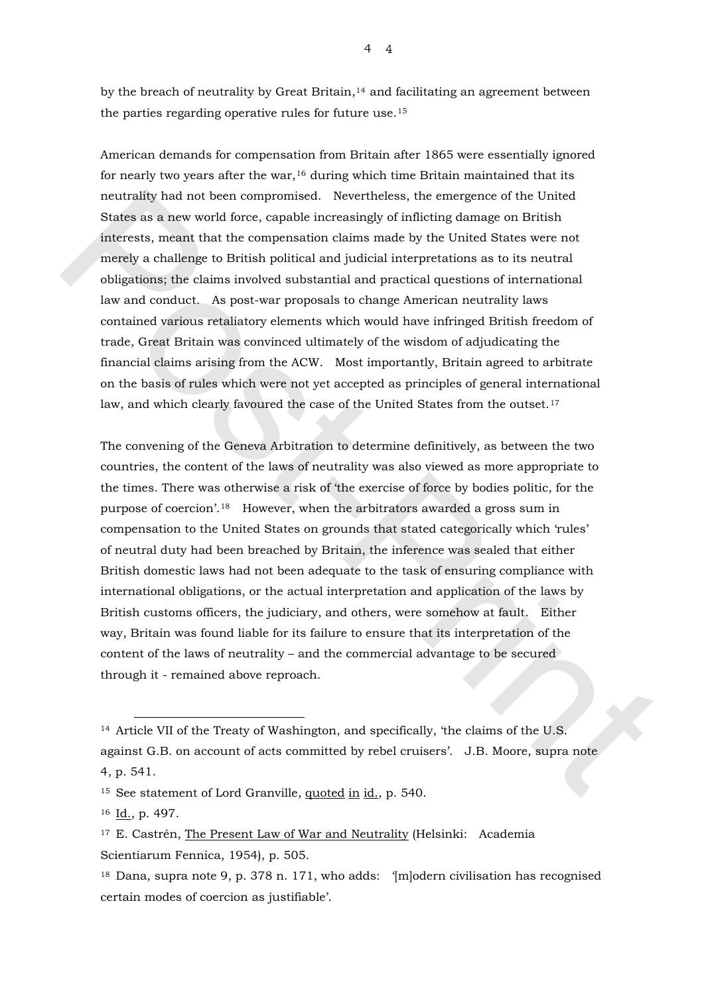by the breach of neutrality by Great Britain,  $14$  and facilitating an agreement between the parties regarding operative rules for future use.[15](#page-3-1)

American demands for compensation from Britain after 1865 were essentially ignored for nearly two years after the war,  $16$  during which time Britain maintained that its neutrality had not been compromised. Nevertheless, the emergence of the United States as a new world force, capable increasingly of inflicting damage on British interests, meant that the compensation claims made by the United States were not merely a challenge to British political and judicial interpretations as to its neutral obligations; the claims involved substantial and practical questions of international law and conduct. As post-war proposals to change American neutrality laws contained various retaliatory elements which would have infringed British freedom of trade, Great Britain was convinced ultimately of the wisdom of adjudicating the financial claims arising from the ACW. Most importantly, Britain agreed to arbitrate on the basis of rules which were not yet accepted as principles of general international law, and which clearly favoured the case of the United States from the outset. $17$ 

The convening of the Geneva Arbitration to determine definitively, as between the two countries, the content of the laws of neutrality was also viewed as more appropriate to the times. There was otherwise a risk of 'the exercise of force by bodies politic, for the purpose of coercion'.18 However, when the arbitrators awarded a gross sum in compensation to the United States on grounds that stated categorically which 'rules' of neutral duty had been breached by Britain, the inference was sealed that either British domestic laws had not been adequate to the task of ensuring compliance with international obligations, or the actual interpretation and application of the laws by British customs officers, the judiciary, and others, were somehow at fault. Either way, Britain was found liable for its failure to ensure that its interpretation of the content of the laws of neutrality – and the commercial advantage to be secured through it - remained above reproach. neutrality had not been compromised. Nevertheless, the emergence of the United States as a new world force, expable increasingly of inflicing damage oo British interests, meant that the compensation claims made by the Uni

<span id="page-3-0"></span> <sup>14</sup> Article VII of the Treaty of Washington, and specifically, 'the claims of the U.S. against G.B. on account of acts committed by rebel cruisers'. J.B. Moore, supra note 4, p. 541.

<span id="page-3-1"></span><sup>&</sup>lt;sup>15</sup> See statement of Lord Granville, quoted in id., p. 540.

<span id="page-3-2"></span><sup>16</sup> Id., p. 497.

<span id="page-3-3"></span><sup>17</sup> E. Castrén, The Present Law of War and Neutrality (Helsinki: Academia Scientiarum Fennica, 1954), p. 505.

<span id="page-3-4"></span><sup>18</sup> Dana, supra note 9, p. 378 n. 171, who adds: '[m]odern civilisation has recognised certain modes of coercion as justifiable'.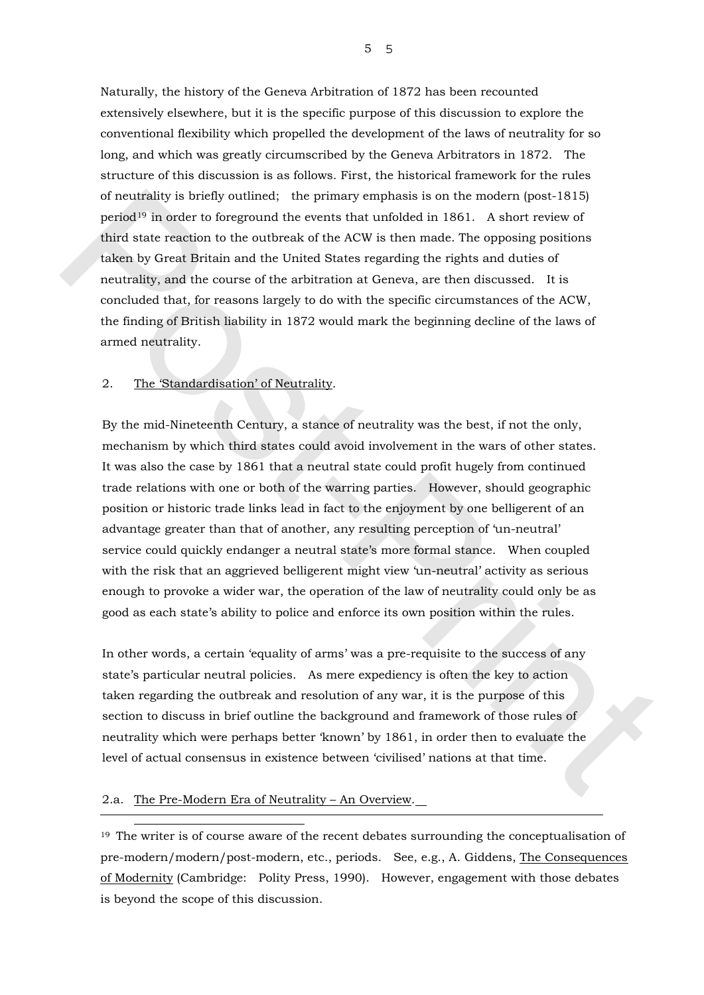Naturally, the history of the Geneva Arbitration of 1872 has been recounted extensively elsewhere, but it is the specific purpose of this discussion to explore the conventional flexibility which propelled the development of the laws of neutrality for so long, and which was greatly circumscribed by the Geneva Arbitrators in 1872. The structure of this discussion is as follows. First, the historical framework for the rules of neutrality is briefly outlined; the primary emphasis is on the modern (post-1815) period19 in order to foreground the events that unfolded in 1861. A short review of third state reaction to the outbreak of the ACW is then made. The opposing positions taken by Great Britain and the United States regarding the rights and duties of neutrality, and the course of the arbitration at Geneva, are then discussed. It is concluded that, for reasons largely to do with the specific circumstances of the ACW, the finding of British liability in 1872 would mark the beginning decline of the laws of armed neutrality.

# 2. The 'Standardisation' of Neutrality.

By the mid-Nineteenth Century, a stance of neutrality was the best, if not the only, mechanism by which third states could avoid involvement in the wars of other states. It was also the case by 1861 that a neutral state could profit hugely from continued trade relations with one or both of the warring parties. However, should geographic position or historic trade links lead in fact to the enjoyment by one belligerent of an advantage greater than that of another, any resulting perception of 'un-neutral' service could quickly endanger a neutral state's more formal stance. When coupled with the risk that an aggrieved belligerent might view 'un-neutral' activity as serious enough to provoke a wider war, the operation of the law of neutrality could only be as good as each state's ability to police and enforce its own position within the rules. of extentiality is briefly outlined; the primary emphass is on the modern foost-1815) random point and the acceleration of the ACW is then mude. The opposing positions their action to the outweak of the ACW is then mude.

In other words, a certain 'equality of arms' was a pre-requisite to the success of any state's particular neutral policies. As mere expediency is often the key to action taken regarding the outbreak and resolution of any war, it is the purpose of this section to discuss in brief outline the background and framework of those rules of neutrality which were perhaps better 'known' by 1861, in order then to evaluate the level of actual consensus in existence between 'civilised' nations at that time.

## 2.a. The Pre-Modern Era of Neutrality – An Overview.

<span id="page-4-0"></span><sup>19</sup> The writer is of course aware of the recent debates surrounding the conceptualisation of pre-modern/modern/post-modern, etc., periods. See, e.g., A. Giddens, The Consequences of Modernity (Cambridge: Polity Press, 1990). However, engagement with those debates is beyond the scope of this discussion.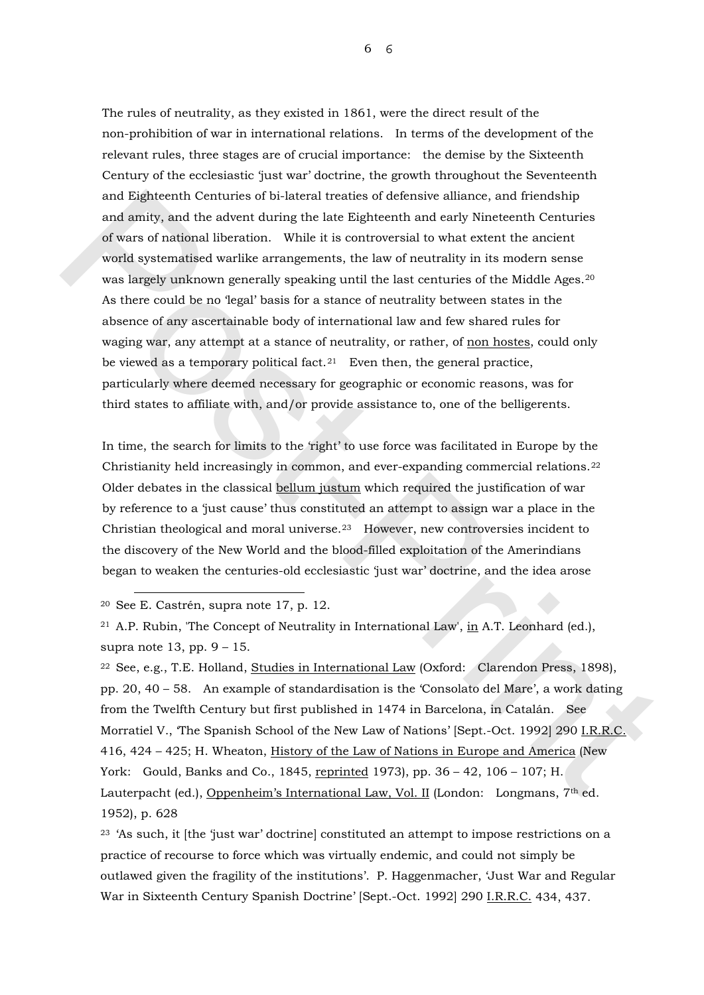The rules of neutrality, as they existed in 1861, were the direct result of the non-prohibition of war in international relations. In terms of the development of the relevant rules, three stages are of crucial importance: the demise by the Sixteenth Century of the ecclesiastic 'just war' doctrine, the growth throughout the Seventeenth and Eighteenth Centuries of bi-lateral treaties of defensive alliance, and friendship and amity, and the advent during the late Eighteenth and early Nineteenth Centuries of wars of national liberation. While it is controversial to what extent the ancient world systematised warlike arrangements, the law of neutrality in its modern sense was largely unknown generally speaking until the last centuries of the Middle Ages.20 As there could be no 'legal' basis for a stance of neutrality between states in the absence of any ascertainable body of international law and few shared rules for waging war, any attempt at a stance of neutrality, or rather, of non hostes, could only be viewed as a temporary political fact.<sup>21</sup> Even then, the general practice, particularly where deemed necessary for geographic or economic reasons, was for third states to affiliate with, and/or provide assistance to, one of the belligerents. and Eighteentic Centuries of bi-lateral treaties of defensive allatteric, and friendship<br>and annity, and the advert during the late Eighteenth and early Nineteenth Centuries<br>of wars of nuclional liberation. While it is co

In time, the search for limits to the 'right' to use force was facilitated in Europe by the Christianity held increasingly in common, and ever-expanding commercial relations.22 Older debates in the classical bellum justum which required the justification of war by reference to a 'just cause' thus constituted an attempt to assign war a place in the Christian theological and moral universe.23 However, new controversies incident to the discovery of the New World and the blood-filled exploitation of the Amerindians began to weaken the centuries-old ecclesiastic 'just war' doctrine, and the idea arose

<span id="page-5-0"></span> $20$  See E. Castrén, supra note 17, p. 12.

<span id="page-5-1"></span>21 A.P. Rubin, 'The Concept of Neutrality in International Law', in A.T. Leonhard (ed.), supra note  $13$ , pp.  $9 - 15$ .

<span id="page-5-2"></span>22 See, e.g., T.E. Holland, Studies in International Law (Oxford: Clarendon Press, 1898), pp. 20, 40 – 58. An example of standardisation is the 'Consolato del Mare', a work dating from the Twelfth Century but first published in 1474 in Barcelona, in Catalán. See Morratiel V., 'The Spanish School of the New Law of Nations' [Sept.-Oct. 1992] 290 I.R.R.C. 416, 424 – 425; H. Wheaton, History of the Law of Nations in Europe and America (New York: Gould, Banks and Co., 1845, reprinted 1973), pp. 36 – 42, 106 – 107; H. Lauterpacht (ed.), Oppenheim's International Law, Vol. II (London: Longmans, 7th ed. 1952), p. 628

<span id="page-5-3"></span><sup>23</sup> 'As such, it [the 'just war' doctrine] constituted an attempt to impose restrictions on a practice of recourse to force which was virtually endemic, and could not simply be outlawed given the fragility of the institutions'. P. Haggenmacher, 'Just War and Regular War in Sixteenth Century Spanish Doctrine' [Sept.-Oct. 1992] 290 I.R.R.C. 434, 437.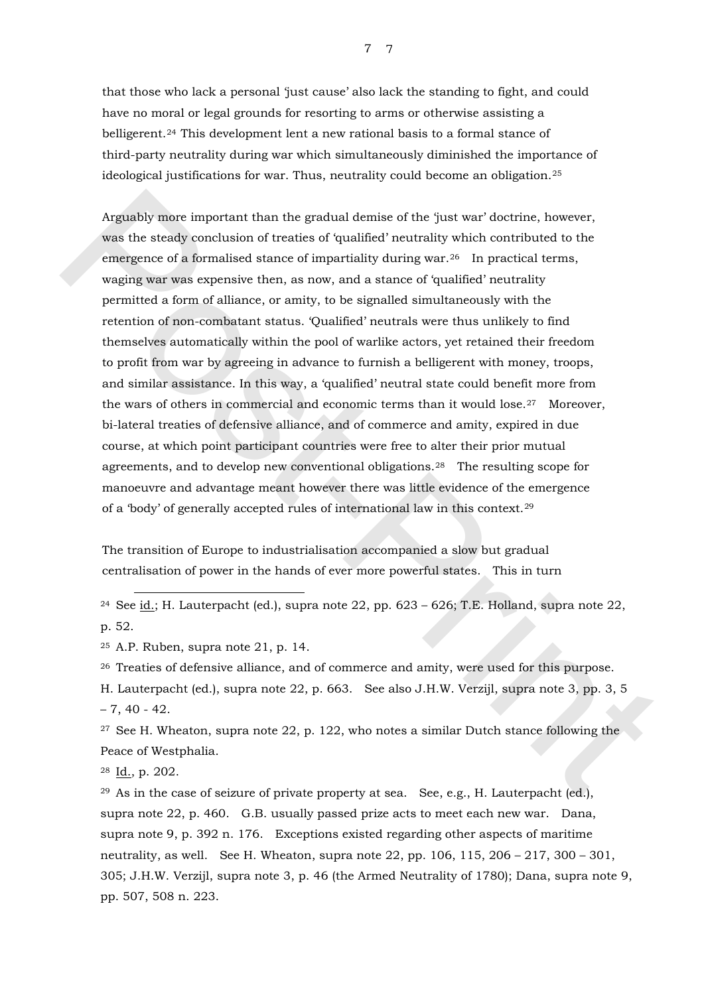that those who lack a personal 'just cause' also lack the standing to fight, and could have no moral or legal grounds for resorting to arms or otherwise assisting a belligerent.[24](#page-6-0) This development lent a new rational basis to a formal stance of third-party neutrality during war which simultaneously diminished the importance of ideological justifications for war. Thus, neutrality could become an obligation.[25](#page-6-1)

Arguably more important than the gradual demise of the 'just war' doctrine, however, was the steady conclusion of treaties of 'qualified' neutrality which contributed to the emergence of a formalised stance of impartiality during war.<sup>26</sup> In practical terms, waging war was expensive then, as now, and a stance of 'qualified' neutrality permitted a form of alliance, or amity, to be signalled simultaneously with the retention of non-combatant status. 'Qualified' neutrals were thus unlikely to find themselves automatically within the pool of warlike actors, yet retained their freedom to profit from war by agreeing in advance to furnish a belligerent with money, troops, and similar assistance. In this way, a 'qualified' neutral state could benefit more from the wars of others in commercial and economic terms than it would lose.27 Moreover, bi-lateral treaties of defensive alliance, and of commerce and amity, expired in due course, at which point participant countries were free to alter their prior mutual agreements, and to develop new conventional obligations.28 The resulting scope for manoeuvre and advantage meant however there was little evidence of the emergence of a 'body' of generally accepted rules of international law in this context.29 Argiably more important than the gradual denise of the "just war" decrine, however,<br>weal the steady conclusion of treaties of 'qualified' neutrality which contributed to the<br>compone of a formalised stance of impartiality

The transition of Europe to industrialisation accompanied a slow but gradual centralisation of power in the hands of ever more powerful states. This in turn

<span id="page-6-0"></span><sup>24</sup> See id.; H. Lauterpacht (ed.), supra note  $22$ , pp.  $623 - 626$ ; T.E. Holland, supra note  $22$ , p. 52.

<span id="page-6-1"></span> $25$  A.P. Ruben, supra note 21, p. 14.

<span id="page-6-2"></span><sup>26</sup> Treaties of defensive alliance, and of commerce and amity, were used for this purpose.

H. Lauterpacht (ed.), supra note 22, p. 663. See also J.H.W. Verzijl, supra note 3, pp. 3, 5  $-7, 40 - 42.$ 

<span id="page-6-3"></span> $27$  See H. Wheaton, supra note 22, p. 122, who notes a similar Dutch stance following the Peace of Westphalia.

<span id="page-6-4"></span><sup>28</sup> Id., p. 202.

<span id="page-6-5"></span> $29$  As in the case of seizure of private property at sea. See, e.g., H. Lauterpacht (ed.), supra note 22, p. 460. G.B. usually passed prize acts to meet each new war. Dana, supra note 9, p. 392 n. 176. Exceptions existed regarding other aspects of maritime neutrality, as well. See H. Wheaton, supra note 22, pp. 106, 115, 206 – 217, 300 – 301, 305; J.H.W. Verzijl, supra note 3, p. 46 (the Armed Neutrality of 1780); Dana, supra note 9, pp. 507, 508 n. 223.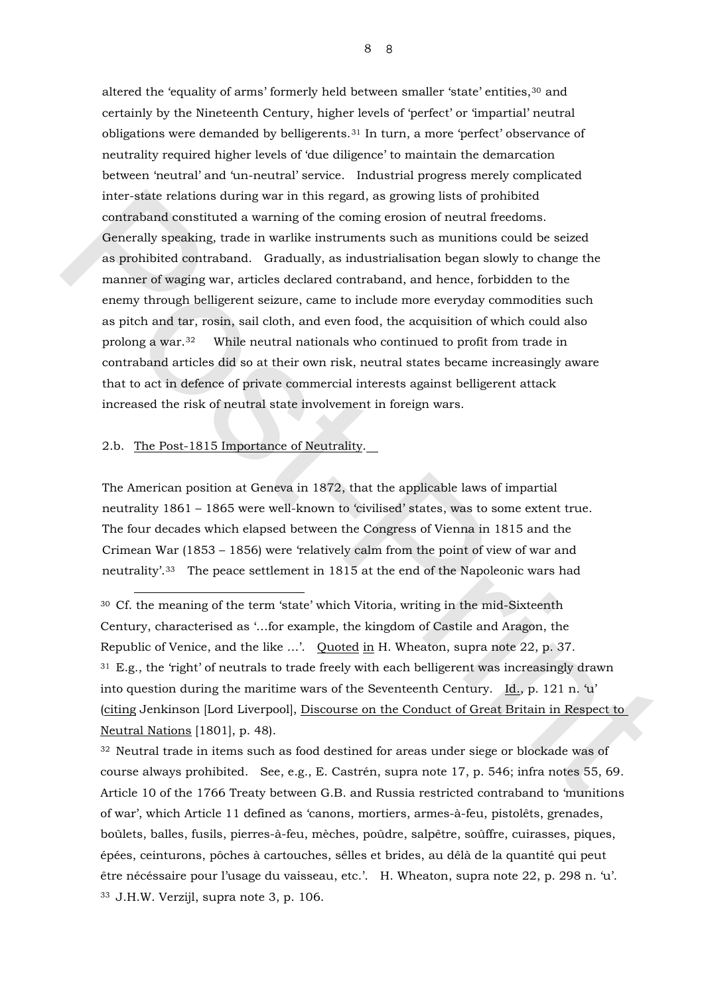altered the 'equality of arms' formerly held between smaller 'state' entities,[30](#page-7-0) and certainly by the Nineteenth Century, higher levels of 'perfect' or 'impartial' neutral obligations were demanded by belligerents.[31](#page-7-1) In turn, a more 'perfect' observance of neutrality required higher levels of 'due diligence' to maintain the demarcation between 'neutral' and 'un-neutral' service. Industrial progress merely complicated inter-state relations during war in this regard, as growing lists of prohibited contraband constituted a warning of the coming erosion of neutral freedoms. Generally speaking, trade in warlike instruments such as munitions could be seized as prohibited contraband. Gradually, as industrialisation began slowly to change the manner of waging war, articles declared contraband, and hence, forbidden to the enemy through belligerent seizure, came to include more everyday commodities such as pitch and tar, rosin, sail cloth, and even food, the acquisition of which could also prolong a war.32 While neutral nationals who continued to profit from trade in contraband articles did so at their own risk, neutral states became increasingly aware that to act in defence of private commercial interests against belligerent attack increased the risk of neutral state involvement in foreign wars. inter-state relations during war in this regard, as growing fails of probabited<br>controlsnot constituted a worsing of the coming erosion of neural freedoms.<br>Cenerally speaking, trade in wartike instruments such as munition

# 2.b. The Post-1815 Importance of Neutrality.

The American position at Geneva in 1872, that the applicable laws of impartial neutrality 1861 – 1865 were well-known to 'civilised' states, was to some extent true. The four decades which elapsed between the Congress of Vienna in 1815 and the Crimean War (1853 – 1856) were 'relatively calm from the point of view of war and neutrality'.33 The peace settlement in 1815 at the end of the Napoleonic wars had

<span id="page-7-1"></span><span id="page-7-0"></span> 30 Cf. the meaning of the term 'state' which Vitoria, writing in the mid-Sixteenth Century, characterised as '…for example, the kingdom of Castile and Aragon, the Republic of Venice, and the like ...'. Quoted in H. Wheaton, supra note 22, p. 37.  $31$  E.g., the 'right' of neutrals to trade freely with each belligerent was increasingly drawn into question during the maritime wars of the Seventeenth Century.  $Id_{.}$ , p. 121 n. 'u' (citing Jenkinson [Lord Liverpool], Discourse on the Conduct of Great Britain in Respect to Neutral Nations [1801], p. 48).

<span id="page-7-3"></span><span id="page-7-2"></span> $32$  Neutral trade in items such as food destined for areas under siege or blockade was of course always prohibited. See, e.g., E. Castrén, supra note 17, p. 546; infra notes 55, 69. Article 10 of the 1766 Treaty between G.B. and Russia restricted contraband to 'munitions of war', which Article 11 defined as 'canons, mortiers, armes-à-feu, pistolêts, grenades, boûlets, balles, fusils, pierres-à-feu, mèches, poûdre, salpêtre, soûffre, cuirasses, piques, épées, ceinturons, pôches à cartouches, sêlles et brides, au dêlà de la quantité qui peut être nécéssaire pour l'usage du vaisseau, etc.'. H. Wheaton, supra note 22, p. 298 n. 'u'. 33 J.H.W. Verzijl, supra note 3, p. 106.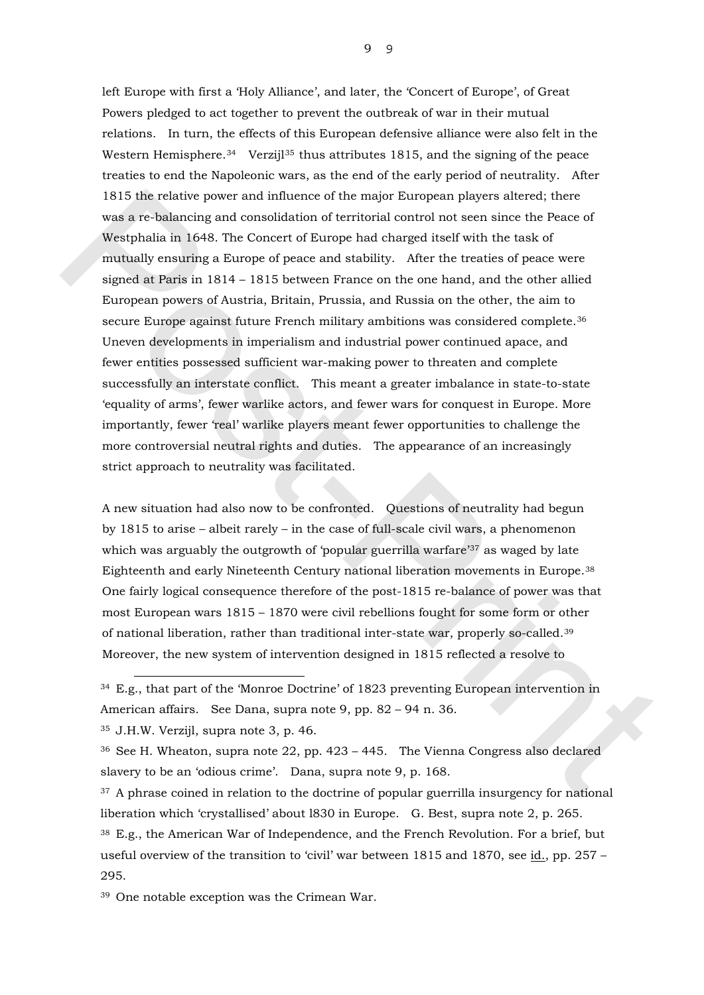left Europe with first a 'Holy Alliance', and later, the 'Concert of Europe', of Great Powers pledged to act together to prevent the outbreak of war in their mutual relations. In turn, the effects of this European defensive alliance were also felt in the Western Hemisphere.<sup>[34](#page-8-0)</sup> Verzijl<sup>[35](#page-8-1)</sup> thus attributes 1815, and the signing of the peace treaties to end the Napoleonic wars, as the end of the early period of neutrality. After 1815 the relative power and influence of the major European players altered; there was a re-balancing and consolidation of territorial control not seen since the Peace of Westphalia in 1648. The Concert of Europe had charged itself with the task of mutually ensuring a Europe of peace and stability. After the treaties of peace were signed at Paris in 1814 – 1815 between France on the one hand, and the other allied European powers of Austria, Britain, Prussia, and Russia on the other, the aim to secure Europe against future French military ambitions was considered complete.36 Uneven developments in imperialism and industrial power continued apace, and fewer entities possessed sufficient war-making power to threaten and complete successfully an interstate conflict. This meant a greater imbalance in state-to-state 'equality of arms', fewer warlike actors, and fewer wars for conquest in Europe. More importantly, fewer 'real' warlike players meant fewer opportunities to challenge the more controversial neutral rights and duties. The appearance of an increasingly strict approach to neutrality was facilitated. 1815 the relative power and infilances of the maps Europa players altered; there are solven to the maps are relationing and consolidation of territorial control not asses are [P](#page-8-3)asce of Westphulia in 1648. The Concert of Eu

A new situation had also now to be confronted. Questions of neutrality had begun by 1815 to arise – albeit rarely – in the case of full-scale civil wars, a phenomenon which was arguably the outgrowth of 'popular guerrilla warfare'<sup>37</sup> as waged by late Eighteenth and early Nineteenth Century national liberation movements in Europe.38 One fairly logical consequence therefore of the post-1815 re-balance of power was that most European wars 1815 – 1870 were civil rebellions fought for some form or other of national liberation, rather than traditional inter-state war, properly so-called.39 Moreover, the new system of intervention designed in 1815 reflected a resolve to

<span id="page-8-4"></span><span id="page-8-3"></span><sup>37</sup> A phrase coined in relation to the doctrine of popular guerrilla insurgency for national liberation which 'crystallised' about l830 in Europe. G. Best, supra note 2, p. 265.  $38$  E.g., the American War of Independence, and the French Revolution. For a brief, but useful overview of the transition to 'civil' war between 1815 and 1870, see id., pp. 257 -295.

<span id="page-8-5"></span>39 One notable exception was the Crimean War.

<span id="page-8-0"></span> <sup>34</sup> E.g., that part of the 'Monroe Doctrine' of 1823 preventing European intervention in American affairs. See Dana, supra note 9, pp. 82 – 94 n. 36.

<span id="page-8-1"></span><sup>35</sup> J.H.W. Verzijl, supra note 3, p. 46.

<span id="page-8-2"></span><sup>36</sup> See H. Wheaton, supra note 22, pp. 423 – 445. The Vienna Congress also declared slavery to be an 'odious crime'. Dana, supra note 9, p. 168.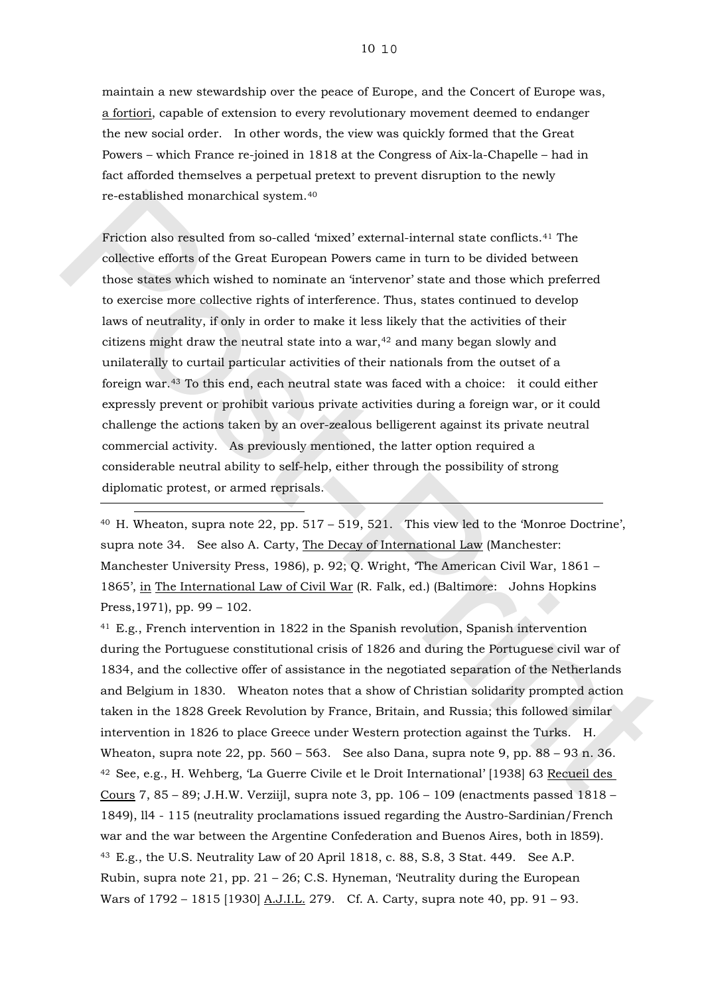maintain a new stewardship over the peace of Europe, and the Concert of Europe was, a fortiori, capable of extension to every revolutionary movement deemed to endanger the new social order. In other words, the view was quickly formed that the Great Powers – which France re-joined in 1818 at the Congress of Aix-la-Chapelle – had in fact afforded themselves a perpetual pretext to prevent disruption to the newly re-established monarchical system.40

Friction also resulted from so-called 'mixed' external-internal state conflicts.41 The collective efforts of the Great European Powers came in turn to be divided between those states which wished to nominate an 'intervenor' state and those which preferred to exercise more collective rights of interference. Thus, states continued to develop laws of neutrality, if only in order to make it less likely that the activities of their citizens might draw the neutral state into a war,  $42$  and many began slowly and unilaterally to curtail particular activities of their nationals from the outset of a foreign war.43 To this end, each neutral state was faced with a choice: it could either expressly prevent or prohibit various private activities during a foreign war, or it could challenge the actions taken by an over-zealous belligerent against its private neutral commercial activity. As previously mentioned, the latter option required a considerable neutral ability to self-help, either through the possibility of strong diplomatic protest, or armed reprisals. re-established m[o](#page-9-3)narchical system.<sup>46</sup><br>
Priction also resulted from so-called 'mixed' external-internal state. The<br>
collective effocts of the Great European Powers came in turn to be divided between<br>
cholective effocts of

<span id="page-9-0"></span> $40$  H. Wheaton, supra note 22, pp. 517 – 519, 521. This view led to the 'Monroe Doctrine', supra note 34. See also A. Carty, The Decay of International Law (Manchester: Manchester University Press, 1986), p. 92; Q. Wright, 'The American Civil War, 1861 – 1865', in The International Law of Civil War (R. Falk, ed.) (Baltimore: Johns Hopkins Press,1971), pp. 99 – 102.

<span id="page-9-3"></span><span id="page-9-2"></span><span id="page-9-1"></span>41 E.g., French intervention in 1822 in the Spanish revolution, Spanish intervention during the Portuguese constitutional crisis of 1826 and during the Portuguese civil war of 1834, and the collective offer of assistance in the negotiated separation of the Netherlands and Belgium in 1830. Wheaton notes that a show of Christian solidarity prompted action taken in the 1828 Greek Revolution by France, Britain, and Russia; this followed similar intervention in 1826 to place Greece under Western protection against the Turks. H. Wheaton, supra note 22, pp. 560 – 563. See also Dana, supra note 9, pp. 88 – 93 n. 36. 42 See, e.g., H. Wehberg, 'La Guerre Civile et le Droit International' [1938] 63 Recueil des Cours 7, 85 – 89; J.H.W. Verziijl, supra note 3, pp.  $106 - 109$  (enactments passed  $1818$  – 1849), ll4 - 115 (neutrality proclamations issued regarding the Austro-Sardinian/French war and the war between the Argentine Confederation and Buenos Aires, both in l859). 43 E.g., the U.S. Neutrality Law of 20 April 1818, c. 88, S.8, 3 Stat. 449. See A.P. Rubin, supra note 21, pp.  $21 - 26$ ; C.S. Hyneman, 'Neutrality during the European Wars of 1792 – 1815 [1930] A.J.I.L. 279. Cf. A. Carty, supra note 40, pp. 91 – 93.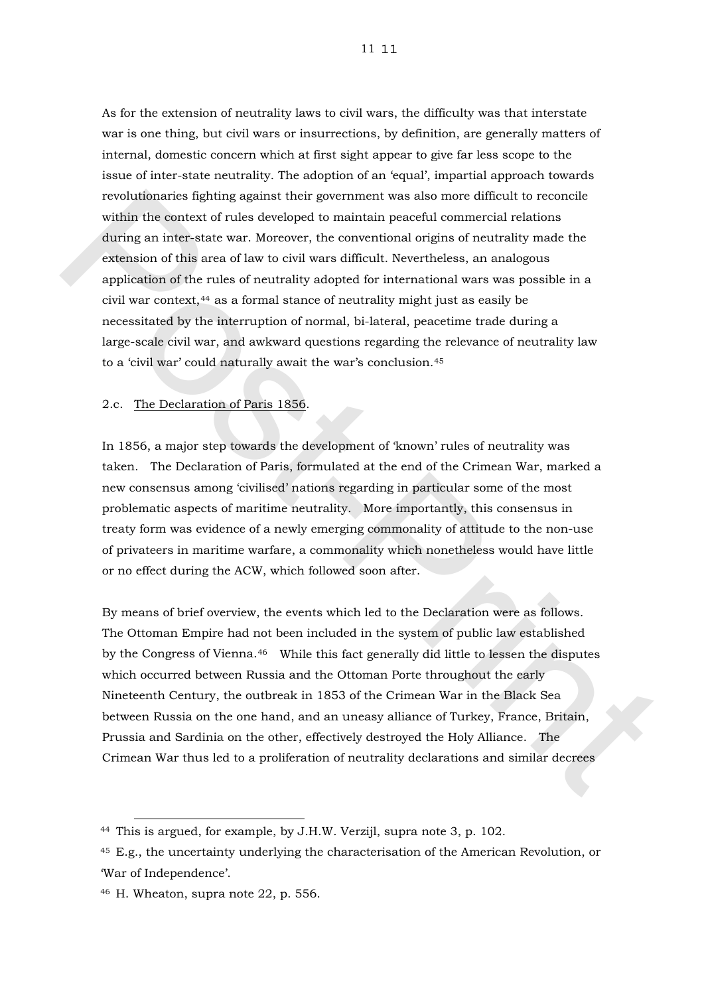As for the extension of neutrality laws to civil wars, the difficulty was that interstate war is one thing, but civil wars or insurrections, by definition, are generally matters of internal, domestic concern which at first sight appear to give far less scope to the issue of inter-state neutrality. The adoption of an 'equal', impartial approach towards revolutionaries fighting against their government was also more difficult to reconcile within the context of rules developed to maintain peaceful commercial relations during an inter-state war. Moreover, the conventional origins of neutrality made the extension of this area of law to civil wars difficult. Nevertheless, an analogous application of the rules of neutrality adopted for international wars was possible in a civil war context,44 as a formal stance of neutrality might just as easily be necessitated by the interruption of normal, bi-lateral, peacetime trade during a large-scale civil war, and awkward questions regarding the relevance of neutrality law to a 'civil war' could naturally await the war's conclusion.45 revolutionaries fighting ugnitst their government was also more difficult to reconsidential<br>wishin the context of rules developed to maintain peaceful connercial relations<br>dorring un inter-state wur. Moreover, the convent

#### 2.c. The Declaration of Paris 1856.

In 1856, a major step towards the development of 'known' rules of neutrality was taken. The Declaration of Paris, formulated at the end of the Crimean War, marked a new consensus among 'civilised' nations regarding in particular some of the most problematic aspects of maritime neutrality. More importantly, this consensus in treaty form was evidence of a newly emerging commonality of attitude to the non-use of privateers in maritime warfare, a commonality which nonetheless would have little or no effect during the ACW, which followed soon after.

By means of brief overview, the events which led to the Declaration were as follows. The Ottoman Empire had not been included in the system of public law established by the Congress of Vienna.46 While this fact generally did little to lessen the disputes which occurred between Russia and the Ottoman Porte throughout the early Nineteenth Century, the outbreak in 1853 of the Crimean War in the Black Sea between Russia on the one hand, and an uneasy alliance of Turkey, France, Britain, Prussia and Sardinia on the other, effectively destroyed the Holy Alliance. The Crimean War thus led to a proliferation of neutrality declarations and similar decrees

<span id="page-10-0"></span> <sup>44</sup> This is argued, for example, by J.H.W. Verzijl, supra note 3, p. 102.

<span id="page-10-1"></span><sup>45</sup> E.g., the uncertainty underlying the characterisation of the American Revolution, or 'War of Independence'.

<span id="page-10-2"></span> $46$  H. Wheaton, supra note 22, p. 556.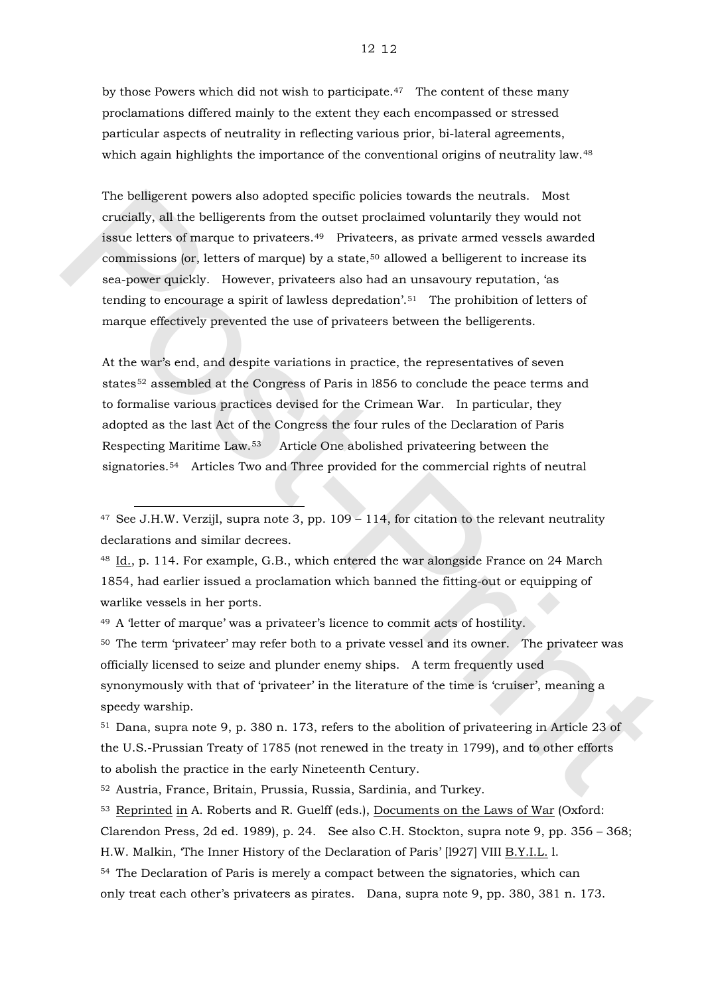by those Powers which did not wish to participate.<sup>[47](#page-11-0)</sup> The content of these many proclamations differed mainly to the extent they each encompassed or stressed particular aspects of neutrality in reflecting various prior, bi-lateral agreements, which again highlights the importance of the conventional origins of neutrality law.<sup>[48](#page-11-1)</sup>

The belligerent powers also adopted specific policies towards the neutrals. Most crucially, all the belligerents from the outset proclaimed voluntarily they would not issue letters of marque to privateers.49 Privateers, as private armed vessels awarded commissions (or, letters of marque) by a state, $50$  allowed a belligerent to increase its sea-power quickly. However, privateers also had an unsavoury reputation, 'as tending to encourage a spirit of lawless depredation'.51 The prohibition of letters of marque effectively prevented the use of privateers between the belligerents. The belligeneral p[o](#page-11-5)wers also adopted specific policies towards the neutratio. Mo[st](#page-11-6) creative consider the state is the matter product that is the matter of matter of matter of matter positive specific serves as private let

At the war's end, and despite variations in practice, the representatives of seven states52 assembled at the Congress of Paris in l856 to conclude the peace terms and to formalise various practices devised for the Crimean War. In particular, they adopted as the last Act of the Congress the four rules of the Declaration of Paris Respecting Maritime Law.53 Article One abolished privateering between the signatories.54 Articles Two and Three provided for the commercial rights of neutral

<span id="page-11-2"></span>49 A 'letter of marque' was a privateer's licence to commit acts of hostility.

<span id="page-11-3"></span><sup>50</sup> The term 'privateer' may refer both to a private vessel and its owner. The privateer was officially licensed to seize and plunder enemy ships. A term frequently used synonymously with that of 'privateer' in the literature of the time is 'cruiser', meaning a speedy warship.

<span id="page-11-4"></span>51 Dana, supra note 9, p. 380 n. 173, refers to the abolition of privateering in Article 23 of the U.S.-Prussian Treaty of 1785 (not renewed in the treaty in 1799), and to other efforts to abolish the practice in the early Nineteenth Century.

<span id="page-11-5"></span>52 Austria, France, Britain, Prussia, Russia, Sardinia, and Turkey.

<span id="page-11-6"></span><sup>53</sup> Reprinted in A. Roberts and R. Guelff (eds.), Documents on the Laws of War (Oxford: Clarendon Press, 2d ed. 1989), p. 24. See also C.H. Stockton, supra note 9, pp. 356 – 368; H.W. Malkin, 'The Inner History of the Declaration of Paris' [l927] VIII B.Y.I.L. l.

<span id="page-11-7"></span>54 The Declaration of Paris is merely a compact between the signatories, which can only treat each other's privateers as pirates. Dana, supra note 9, pp. 380, 381 n. 173.

<span id="page-11-0"></span> $47$  See J.H.W. Verzijl, supra note 3, pp. 109 – 114, for citation to the relevant neutrality declarations and similar decrees.

<span id="page-11-1"></span><sup>48</sup> Id., p. 114. For example, G.B., which entered the war alongside France on 24 March 1854, had earlier issued a proclamation which banned the fitting-out or equipping of warlike vessels in her ports.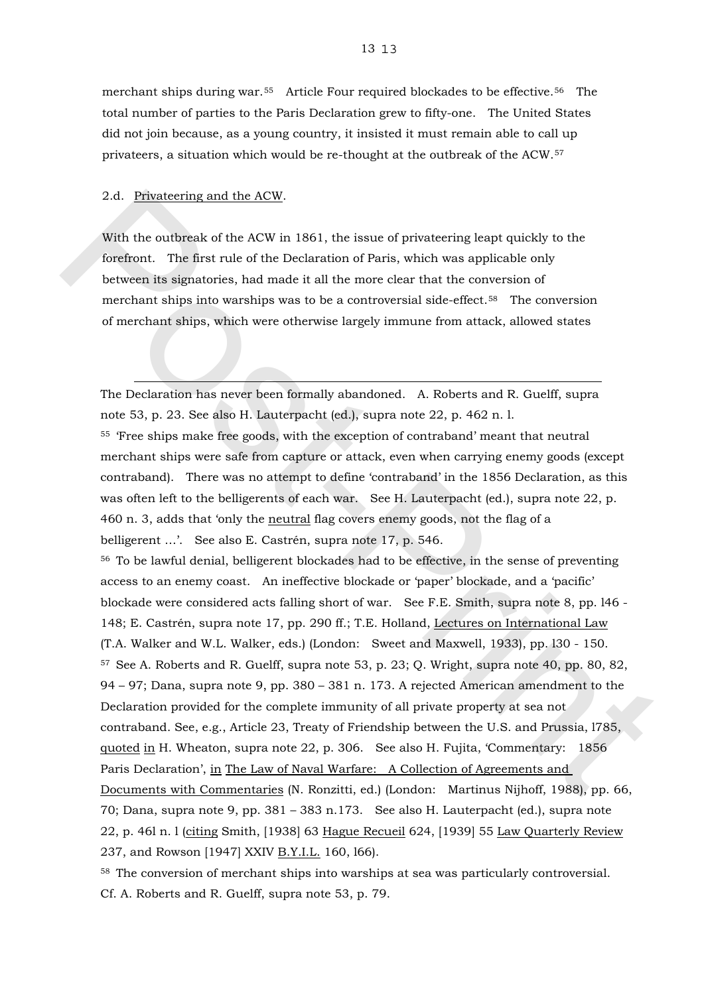merchant ships during war.<sup>[55](#page-12-0)</sup> Article Four required blockades to be effective.<sup>[56](#page-12-1)</sup> The total number of parties to the Paris Declaration grew to fifty-one. The United States did not join because, as a young country, it insisted it must remain able to call up privateers, a situation which would be re-thought at the outbreak of the ACW.[57](#page-12-2)

### 2.d. Privateering and the ACW.

<span id="page-12-0"></span>With the outbreak of the ACW in 1861, the issue of privateering leapt quickly to the forefront. The first rule of the Declaration of Paris, which was applicable only between its signatories, had made it all the more clear that the conversion of merchant ships into warships was to be a controversial side-effect.58 The conversion of merchant ships, which were otherwise largely immune from attack, allowed states

l The Declaration has never been formally abandoned. A. Roberts and R. Guelff, supra note 53, p. 23. See also H. Lauterpacht (ed.), supra note 22, p. 462 n. l. 55 'Free ships make free goods, with the exception of contraband' meant that neutral merchant ships were safe from capture or attack, even when carrying enemy goods (except contraband). There was no attempt to define 'contraband' in the 1856 Declaration, as this was often left to the belligerents of each war. See H. Lauterpacht (ed.), supra note 22, p. 460 n. 3, adds that 'only the neutral flag covers enemy goods, not the flag of a belligerent …'. See also E. Castrén, supra note 17, p. 546. 56 To be lawful denial, belligerent blockades had to be effective, in the sense of preventing access to an enemy coast. An ineffective blockade or 'paper' blockade, and a 'pacific' blockade were considered acts falling short of war. See F.E. Smith, supra note 8, pp. l46 - 148; E. Castrén, supra note 17, pp. 290 ff.; T.E. Holland, Lectures on International Law (T.A. Walker and W.L. Walker, eds.) (London: Sweet and Maxwell, 1933), pp. l30 - 150. 57 See A. Roberts and R. Guelff, supra note 53, p. 23; Q. Wright, supra note 40, pp. 80, 82, 94 – 97; Dana, supra note 9, pp. 380 – 381 n. 173. A rejected American amendment to the Declaration provided for the complete immunity of all private property at sea not contraband. See, e.g., Article 23, Treaty of Friendship between the U.S. and Prussia, l785, quoted in H. Wheaton, supra note 22, p. 306. See also H. Fujita, 'Commentary: 1856 Paris Declaration', in The Law of Naval Warfare: A Collection of Agreements and Documents with Commentaries (N. Ronzitti, ed.) (London: Martinus Nijhoff, 1988), pp. 66, 70; Dana, supra note 9, pp. 381 – 383 n.173. See also H. Lauterpacht (ed.), supra note 22, p. 46l n. l (citing Smith, [1938] 63 Hague Recueil 624, [1939] 55 Law Quarterly Review 237, and Rowson [1947] XXIV B.Y.I.L. 160, l66). 2.d. Privateerime and the ACW.<br>With the outbreak of the ACW in 1861, the issue of private<br>ering leapt quickly to the fortefront. The first rule of the Declearation of Paris, which was applicable only<br>forefront. The first

<span id="page-12-3"></span><span id="page-12-2"></span><span id="page-12-1"></span>58 The conversion of merchant ships into warships at sea was particularly controversial. Cf. A. Roberts and R. Guelff, supra note 53, p. 79.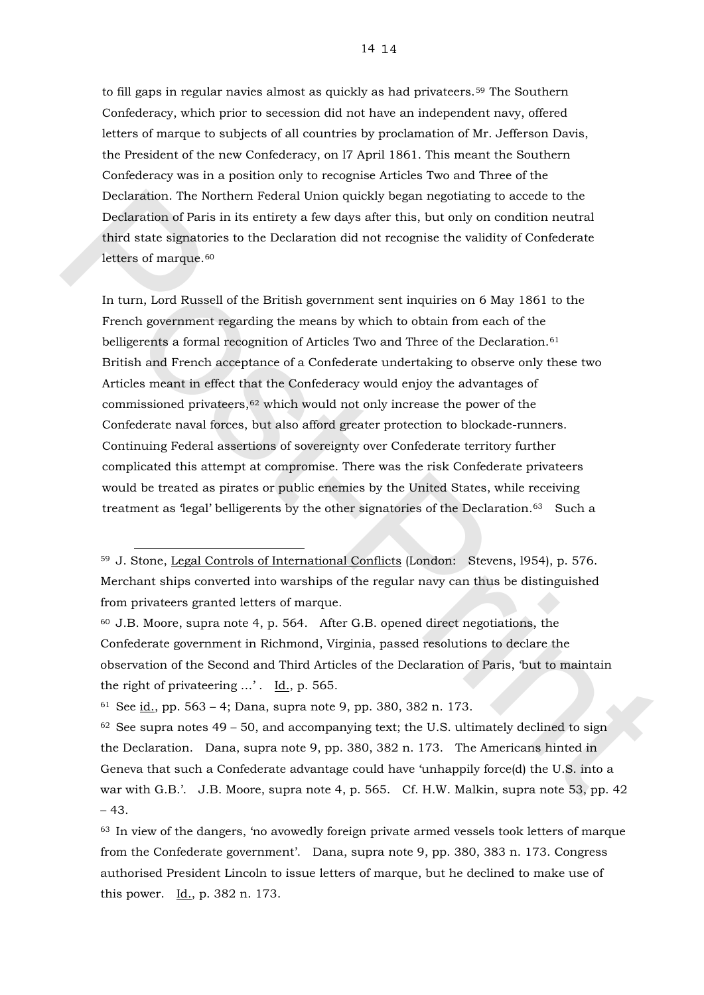to fill gaps in regular navies almost as quickly as had privateers.[59](#page-13-0) The Southern Confederacy, which prior to secession did not have an independent navy, offered letters of marque to subjects of all countries by proclamation of Mr. Jefferson Davis, the President of the new Confederacy, on l7 April 1861. This meant the Southern Confederacy was in a position only to recognise Articles Two and Three of the Declaration. The Northern Federal Union quickly began negotiating to accede to the Declaration of Paris in its entirety a few days after this, but only on condition neutral third state signatories to the Declaration did not recognise the validity of Confederate letters of marque.<sup>60</sup>

In turn, Lord Russell of the British government sent inquiries on 6 May 1861 to the French government regarding the means by which to obtain from each of the belligerents a formal recognition of Articles Two and Three of the Declaration.<sup>61</sup> British and French acceptance of a Confederate undertaking to observe only these two Articles meant in effect that the Confederacy would enjoy the advantages of commissioned privateers,62 which would not only increase the power of the Confederate naval forces, but also afford greater protection to blockade-runners. Continuing Federal assertions of sovereignty over Confederate territory further complicated this attempt at compromise. There was the risk Confederate privateers would be treated as pirates or public enemies by the United States, while receiving treatment as 'legal' belligerents by the other signatories of the Declaration.<sup>63</sup> Such a Declaration. The Northern [P](#page-13-1)ederal Union quickly began magnitulaty to uccele to the<br>Declaration of Paris in its entirety a few days after this, but only on condition extital<br>third state signatories to the Declaration did n

<span id="page-13-0"></span> <sup>59</sup> J. Stone, Legal Controls of International Conflicts (London: Stevens, l954), p. 576. Merchant ships converted into warships of the regular navy can thus be distinguished from privateers granted letters of marque.

<span id="page-13-1"></span> $60$  J.B. Moore, supra note 4, p. 564. After G.B. opened direct negotiations, the Confederate government in Richmond, Virginia, passed resolutions to declare the observation of the Second and Third Articles of the Declaration of Paris, 'but to maintain the right of privateering …' . Id., p. 565.

<span id="page-13-2"></span> $61$  See id., pp. 563 – 4; Dana, supra note 9, pp. 380, 382 n. 173.

<span id="page-13-3"></span> $62$  See supra notes  $49 - 50$ , and accompanying text; the U.S. ultimately declined to sign the Declaration. Dana, supra note 9, pp. 380, 382 n. 173. The Americans hinted in Geneva that such a Confederate advantage could have 'unhappily force(d) the U.S. into a war with G.B.'. J.B. Moore, supra note 4, p. 565. Cf. H.W. Malkin, supra note 53, pp. 42 – 43.

<span id="page-13-4"></span> $63$  In view of the dangers, 'no avowedly foreign private armed vessels took letters of marque from the Confederate government'. Dana, supra note 9, pp. 380, 383 n. 173. Congress authorised President Lincoln to issue letters of marque, but he declined to make use of this power.  $Id., p. 382 n. 173.$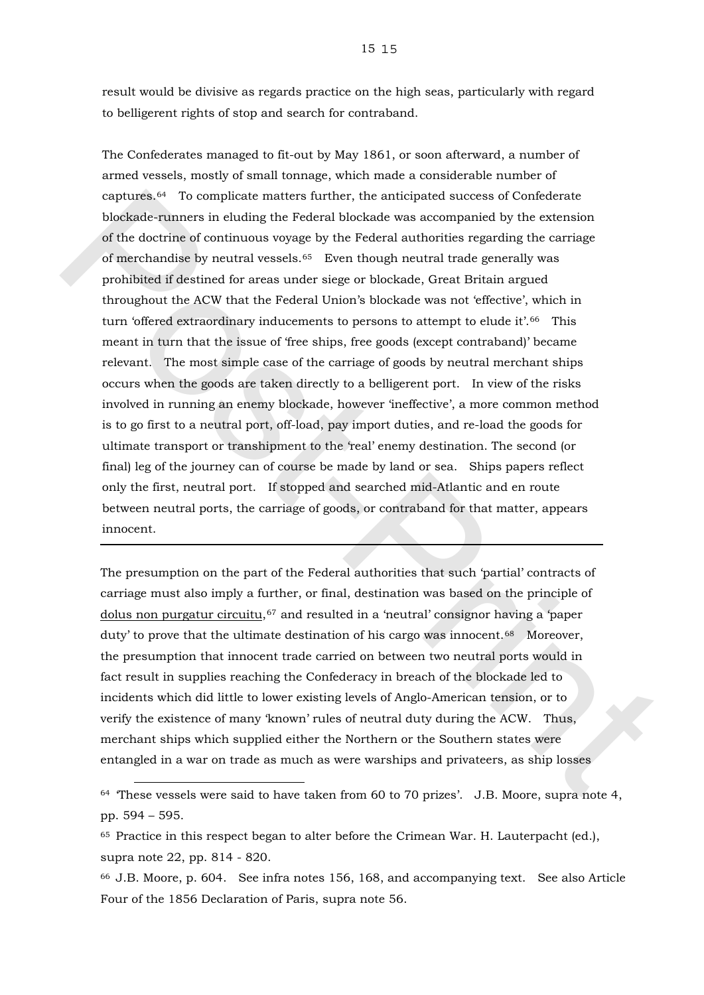result would be divisive as regards practice on the high seas, particularly with regard to belligerent rights of stop and search for contraband.

<span id="page-14-3"></span>The Confederates managed to fit-out by May 1861, or soon afterward, a number of armed vessels, mostly of small tonnage, which made a considerable number of captures.64 To complicate matters further, the anticipated success of Confederate blockade-runners in eluding the Federal blockade was accompanied by the extension of the doctrine of continuous voyage by the Federal authorities regarding the carriage of merchandise by neutral vessels.65 Even though neutral trade generally was prohibited if destined for areas under siege or blockade, Great Britain argued throughout the ACW that the Federal Union's blockade was not 'effective', which in turn 'offered extraordinary inducements to persons to attempt to elude it'.66 This meant in turn that the issue of 'free ships, free goods (except contraband)' became relevant. The most simple case of the carriage of goods by neutral merchant ships occurs when the goods are taken directly to a belligerent port. In view of the risks involved in running an enemy blockade, however 'ineffective', a more common method is to go first to a neutral port, off-load, pay import duties, and re-load the goods for ultimate transport or transhipment to the 'real' enemy destination. The second (or final) leg of the journey can of course be made by land or sea. Ships papers reflect only the first, neutral port. If stopped and searched mid-Atlantic and en route between neutral ports, the carriage of goods, or contraband for that matter, appears innocent. equares.<sup>44</sup> To complicate matters further, the unit<br>cipated success of Confederate comparison by the extension of the doctrine of continuous voyage by the [P](#page-14-0)ederal autho[ri](#page-14-4)ties regarding the carriage of the doctrine of con

<span id="page-14-4"></span>The presumption on the part of the Federal authorities that such 'partial' contracts of carriage must also imply a further, or final, destination was based on the principle of dolus non purgatur circuitu,<sup>67</sup> and resulted in a 'neutral' consignor having a 'paper duty' to prove that the ultimate destination of his cargo was innocent.68 Moreover, the presumption that innocent trade carried on between two neutral ports would in fact result in supplies reaching the Confederacy in breach of the blockade led to incidents which did little to lower existing levels of Anglo-American tension, or to verify the existence of many 'known' rules of neutral duty during the ACW. Thus, merchant ships which supplied either the Northern or the Southern states were entangled in a war on trade as much as were warships and privateers, as ship losses

<span id="page-14-0"></span> $64$  These vessels were said to have taken from 60 to 70 prizes'. J.B. Moore, supra note 4, pp. 594 – 595.

<span id="page-14-1"></span><sup>65</sup> Practice in this respect began to alter before the Crimean War. H. Lauterpacht (ed.), supra note 22, pp. 814 - 820.

<span id="page-14-2"></span><sup>66</sup> J.B. Moore, p. 604. See infra notes 156, 168, and accompanying text. See also Article Four of the 1856 Declaration of Paris, supra note 56.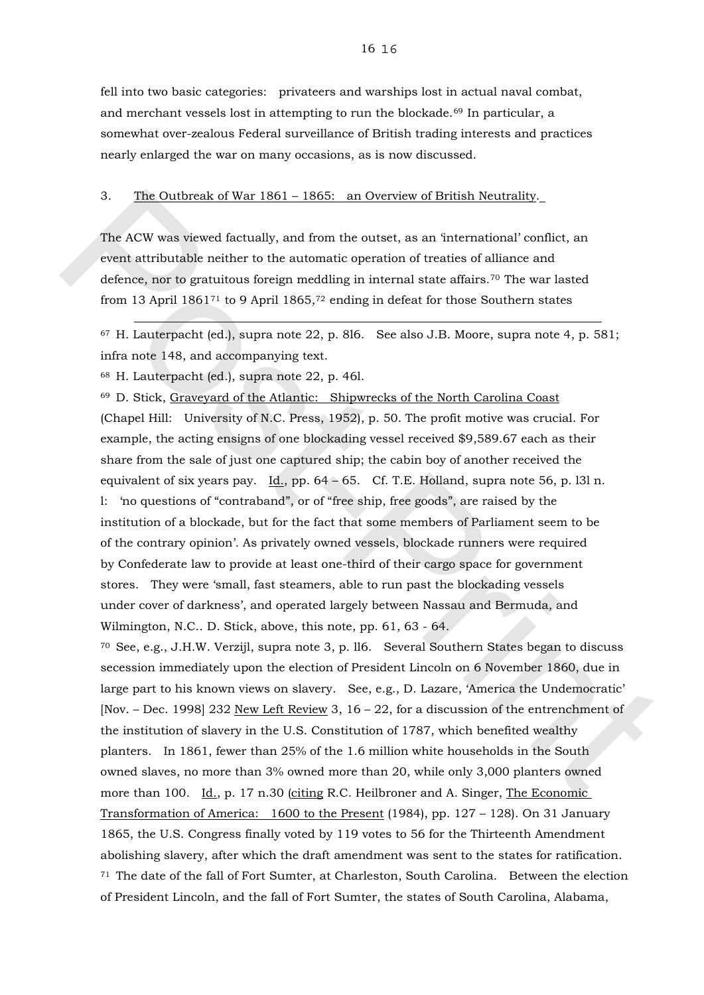fell into two basic categories: privateers and warships lost in actual naval combat, and merchant vessels lost in attempting to run the blockade.<sup>[69](#page-15-0)</sup> In particular, a somewhat over-zealous Federal surveillance of British trading interests and practices nearly enlarged the war on many occasions, as is now discussed.

#### 3. The Outbreak of War 1861 – 1865: an Overview of British Neutrality.

The ACW was viewed factually, and from the outset, as an 'international' conflict, an event attributable neither to the automatic operation of treaties of alliance and defence, nor to gratuitous foreign meddling in internal state affairs.70 The war lasted from 13 April 186171 to 9 April 1865,72 ending in defeat for those Southern states

 $67$  H. Lauterpacht (ed.), supra note 22, p. 816. See also J.B. Moore, supra note 4, p. 581; infra note 148, and accompanying text.

<span id="page-15-0"></span>68 H. Lauterpacht (ed.), supra note 22, p. 46l.

69 D. Stick, Graveyard of the Atlantic: Shipwrecks of the North Carolina Coast (Chapel Hill: University of N.C. Press, 1952), p. 50. The profit motive was crucial. For example, the acting ensigns of one blockading vessel received \$9,589.67 each as their share from the sale of just one captured ship; the cabin boy of another received the equivalent of six years pay.  $Id_{.}$ , pp. 64 – 65. Cf. T.E. Holland, supra note 56, p. 131 n. l: 'no questions of "contraband", or of "free ship, free goods", are raised by the institution of a blockade, but for the fact that some members of Parliament seem to be of the contrary opinion'. As privately owned vessels, blockade runners were required by Confederate law to provide at least one-third of their cargo space for government stores. They were 'small, fast steamers, able to run past the blockading vessels under cover of darkness', and operated largely between Nassau and Bermuda, and Wilmington, N.C.. D. Stick, above, this note, pp. 61, 63 - 64. 3. The Outbreak of War 1865 – 1865: an Overview of British Neutrality.<br>
The ACW was viewed factually, and from the outset, as an international conflict, an<br>
reversi arrivitable either to the automatic operation of readiso

<span id="page-15-3"></span><span id="page-15-2"></span><span id="page-15-1"></span> $70$  See, e.g., J.H.W. Verzijl, supra note 3, p. 116. Several Southern States began to discuss secession immediately upon the election of President Lincoln on 6 November 1860, due in large part to his known views on slavery. See, e.g., D. Lazare, 'America the Undemocratic' [Nov. – Dec. 1998] 232 New Left Review 3, 16 – 22, for a discussion of the entrenchment of the institution of slavery in the U.S. Constitution of 1787, which benefited wealthy planters. In 1861, fewer than 25% of the 1.6 million white households in the South owned slaves, no more than 3% owned more than 20, while only 3,000 planters owned more than 100. Id., p. 17 n.30 (citing R.C. Heilbroner and A. Singer, The Economic Transformation of America: 1600 to the Present (1984), pp. 127 – 128). On 31 January 1865, the U.S. Congress finally voted by 119 votes to 56 for the Thirteenth Amendment abolishing slavery, after which the draft amendment was sent to the states for ratification. 71 The date of the fall of Fort Sumter, at Charleston, South Carolina. Between the election of President Lincoln, and the fall of Fort Sumter, the states of South Carolina, Alabama,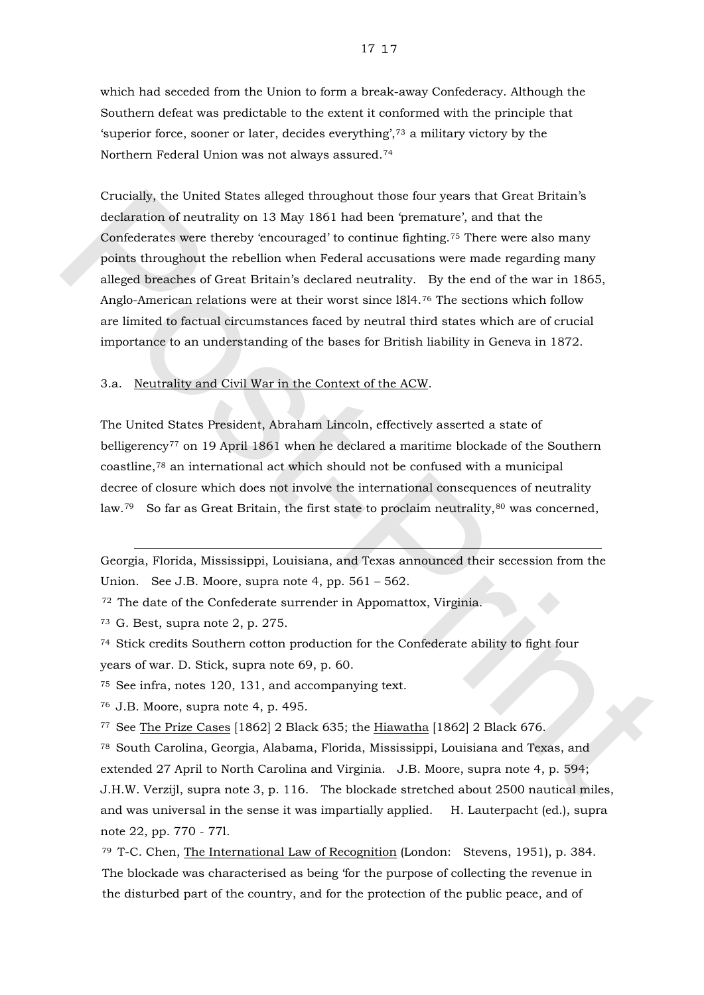which had seceded from the Union to form a break-away Confederacy. Although the Southern defeat was predictable to the extent it conformed with the principle that 'superior force, sooner or later, decides everything',[73](#page-16-0) a military victory by the Northern Federal Union was not always assured.[74](#page-16-1)

Crucially, the United States alleged throughout those four years that Great Britain's declaration of neutrality on 13 May 1861 had been 'premature', and that the Confederates were thereby 'encouraged' to continue fighting.75 There were also many points throughout the rebellion when Federal accusations were made regarding many alleged breaches of Great Britain's declared neutrality. By the end of the war in 1865, Anglo-American relations were at their worst since l8l4.76 The sections which follow are limited to factual circumstances faced by neutral third states which are of crucial importance to an understanding of the bases for British liability in Geneva in 1872. Crecially, the United States alleged throughout those four years that Great Britain's<br>
declaration of neutrality on 13 May 1861 had been 'premature', and that the<br>
Confederates were thereby 'encouraged' to continue fighti

### 3.a. Neutrality and Civil War in the Context of the ACW.

The United States President, Abraham Lincoln, effectively asserted a state of belligerency77 on 19 April 1861 when he declared a maritime blockade of the Southern coastline,78 an international act which should not be confused with a municipal decree of closure which does not involve the international consequences of neutrality law.<sup>79</sup> So far as Great Britain, the first state to proclaim neutrality,  $80$  was concerned,

- Georgia, Florida, Mississippi, Louisiana, and Texas announced their secession from the Union. See J.B. Moore, supra note 4, pp. 561 – 562.
- 72 The date of the Confederate surrender in Appomattox, Virginia.
- <span id="page-16-0"></span>73 G. Best, supra note 2, p. 275.

-

- <span id="page-16-1"></span>74 Stick credits Southern cotton production for the Confederate ability to fight four years of war. D. Stick, supra note 69, p. 60.
- <span id="page-16-7"></span><span id="page-16-2"></span>75 See infra, notes 120, 131, and accompanying text.
- <span id="page-16-3"></span>76 J.B. Moore, supra note 4, p. 495.
- <span id="page-16-4"></span><sup>77</sup> See The Prize Cases [1862] 2 Black 635; the Hiawatha [1862] 2 Black 676.

<span id="page-16-5"></span>78 South Carolina, Georgia, Alabama, Florida, Mississippi, Louisiana and Texas, and extended 27 April to North Carolina and Virginia. J.B. Moore, supra note 4, p. 594; J.H.W. Verzijl, supra note 3, p. 116. The blockade stretched about 2500 nautical miles, and was universal in the sense it was impartially applied. H. Lauterpacht (ed.), supra note 22, pp. 770 - 77l.

<span id="page-16-6"></span>79 T-C. Chen, The International Law of Recognition (London: Stevens, 1951), p. 384. The blockade was characterised as being 'for the purpose of collecting the revenue in the disturbed part of the country, and for the protection of the public peace, and of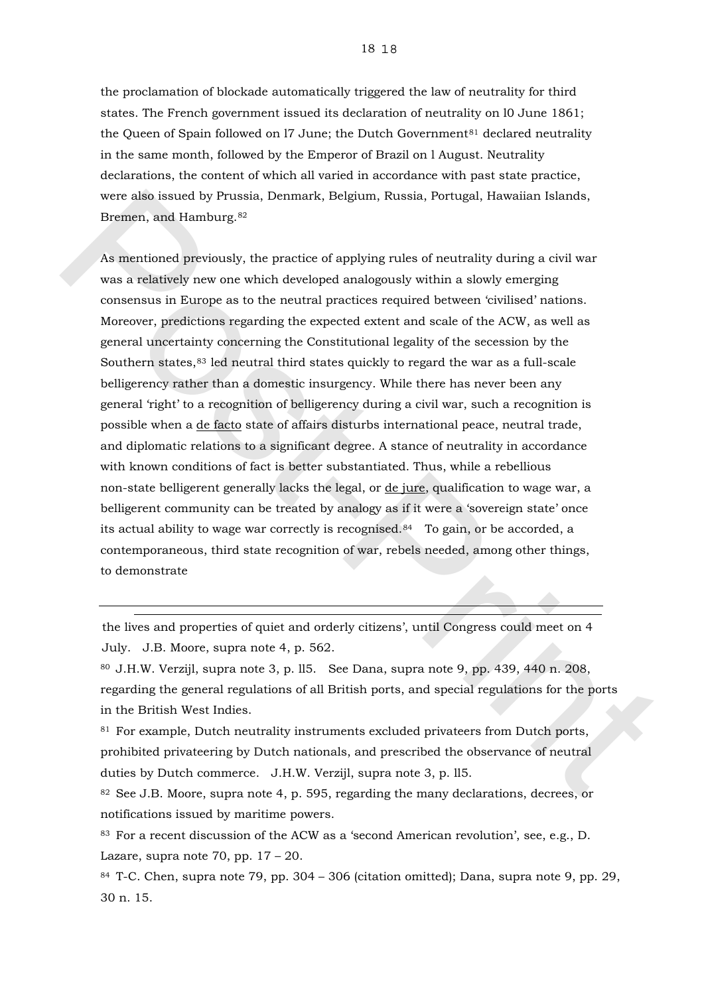the proclamation of blockade automatically triggered the law of neutrality for third states. The French government issued its declaration of neutrality on l0 June 1861; the Queen of Spain followed on 17 June; the Dutch Government $81$  declared neutrality in the same month, followed by the Emperor of Brazil on l August. Neutrality declarations, the content of which all varied in accordance with past state practice, were also issued by Prussia, Denmark, Belgium, Russia, Portugal, Hawaiian Islands, Bremen, and Hamburg.<sup>82</sup>

As mentioned previously, the practice of applying rules of neutrality during a civil war was a relatively new one which developed analogously within a slowly emerging consensus in Europe as to the neutral practices required between 'civilised' nations. Moreover, predictions regarding the expected extent and scale of the ACW, as well as general uncertainty concerning the Constitutional legality of the secession by the Southern states, <sup>83</sup> led neutral third states quickly to regard the war as a full-scale belligerency rather than a domestic insurgency. While there has never been any general 'right' to a recognition of belligerency during a civil war, such a recognition is possible when a de facto state of affairs disturbs international peace, neutral trade, and diplomatic relations to a significant degree. A stance of neutrality in accordance with known conditions of fact is better substantiated. Thus, while a rebellious non-state belligerent generally lacks the legal, or de jure, qualification to wage war, a belligerent community can be treated by analogy as if it were a 'sovereign state' once its actual ability to wage war correctly is recognised.<sup>84</sup> To gain, or be accorded, a contemporaneous, third state recognition of war, rebels needed, among other things, to demonstrate were also issued by [P](#page-17-3)russia, Denmark, Belgium, Russia, Portugal, Huwaiian Islands,<br>
Bromen, and Hamburg 42<br>
As mentioned prividently the practice of applying rules of neutrality during a civil war<br>
As mentioned prividentl

the lives and properties of quiet and orderly citizens', until Congress could meet on 4 July. J.B. Moore, supra note 4, p. 562.

l

 $80$  J.H.W. Verzijl, supra note 3, p. 115. See Dana, supra note 9, pp. 439, 440 n. 208, regarding the general regulations of all British ports, and special regulations for the ports in the British West Indies.

<span id="page-17-0"></span><sup>81</sup> For example, Dutch neutrality instruments excluded privateers from Dutch ports, prohibited privateering by Dutch nationals, and prescribed the observance of neutral duties by Dutch commerce. J.H.W. Verzijl, supra note 3, p. ll5.

<span id="page-17-1"></span>82 See J.B. Moore, supra note 4, p. 595, regarding the many declarations, decrees, or notifications issued by maritime powers.

<span id="page-17-2"></span>83 For a recent discussion of the ACW as a 'second American revolution', see, e.g., D. Lazare, supra note 70, pp.  $17 - 20$ .

<span id="page-17-3"></span> $84$  T-C. Chen, supra note 79, pp. 304 – 306 (citation omitted); Dana, supra note 9, pp. 29, 30 n. 15.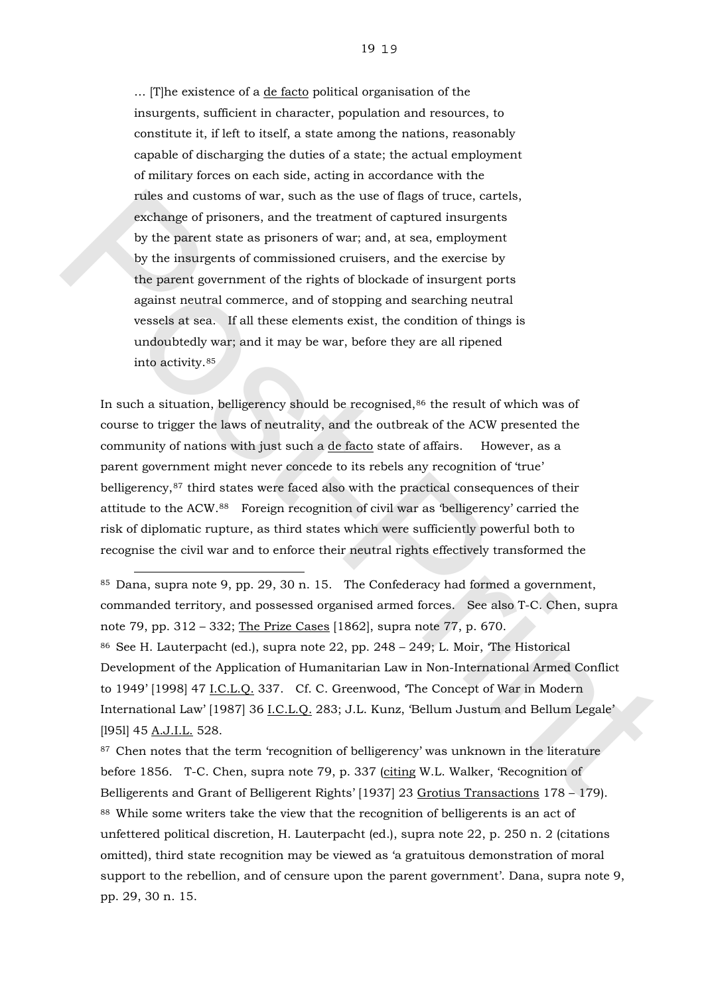19 19

... [T]he existence of a de facto political organisation of the insurgents, sufficient in character, population and resources, to constitute it, if left to itself, a state among the nations, reasonably capable of discharging the duties of a state; the actual employment of military forces on each side, acting in accordance with the rules and customs of war, such as the use of flags of truce, cartels, exchange of prisoners, and the treatment of captured insurgents by the parent state as prisoners of war; and, at sea, employment by the insurgents of commissioned cruisers, and the exercise by the parent government of the rights of blockade of insurgent ports against neutral commerce, and of stopping and searching neutral vessels at sea. If all these elements exist, the condition of things is undoubtedly war; and it may be war, before they are all ripened into activity.85

In such a situation, belligerency should be recognised,<sup>86</sup> the result of which was of course to trigger the laws of neutrality, and the outbreak of the ACW presented the community of nations with just such a de facto state of affairs. However, as a parent government might never concede to its rebels any recognition of 'true' belligerency,<sup>87</sup> third states were faced also with the practical consequences of their attitude to the ACW.88 Foreign recognition of civil war as 'belligerency' carried the risk of diplomatic rupture, as third states which were sufficiently powerful both to recognise the civil war and to enforce their neutral rights effectively transformed the

 85 Dana, supra note 9, pp. 29, 30 n. 15. The Confederacy had formed a government, commanded territory, and possessed organised armed forces. See also T-C. Chen, supra note 79, pp. 312 – 332; The Prize Cases [1862], supra note 77, p. 670.  $86$  See H. Lauterpacht (ed.), supra note 22, pp. 248 – 249; L. Moir, The Historical Development of the Application of Humanitarian Law in Non-International Armed Conflict to 1949' [1998] 47 I.C.L.Q. 337. Cf. C. Greenwood, The Concept of War in Modern International Law' [1987] 36 I.C.L.Q. 283; J.L. Kunz, 'Bellum Justum and Bellum Legale' [l95l] 45 A.J.I.L. 528. relasion of customs of war, such as the use of flage of true coincing<br>exchange of prisoners, and the treatment of captured insugents<br>by the parent state as prisoners of war; and, at eas, employment<br>by the insurgants of co

<span id="page-18-3"></span><span id="page-18-2"></span><span id="page-18-1"></span><span id="page-18-0"></span><sup>87</sup> Chen notes that the term 'recognition of belligerency' was unknown in the literature before 1856. T-C. Chen, supra note 79, p. 337 (citing W.L. Walker, 'Recognition of Belligerents and Grant of Belligerent Rights' [1937] 23 Grotius Transactions 178 – 179). 88 While some writers take the view that the recognition of belligerents is an act of unfettered political discretion, H. Lauterpacht (ed.), supra note 22, p. 250 n. 2 (citations omitted), third state recognition may be viewed as 'a gratuitous demonstration of moral support to the rebellion, and of censure upon the parent government'. Dana, supra note 9, pp. 29, 30 n. 15.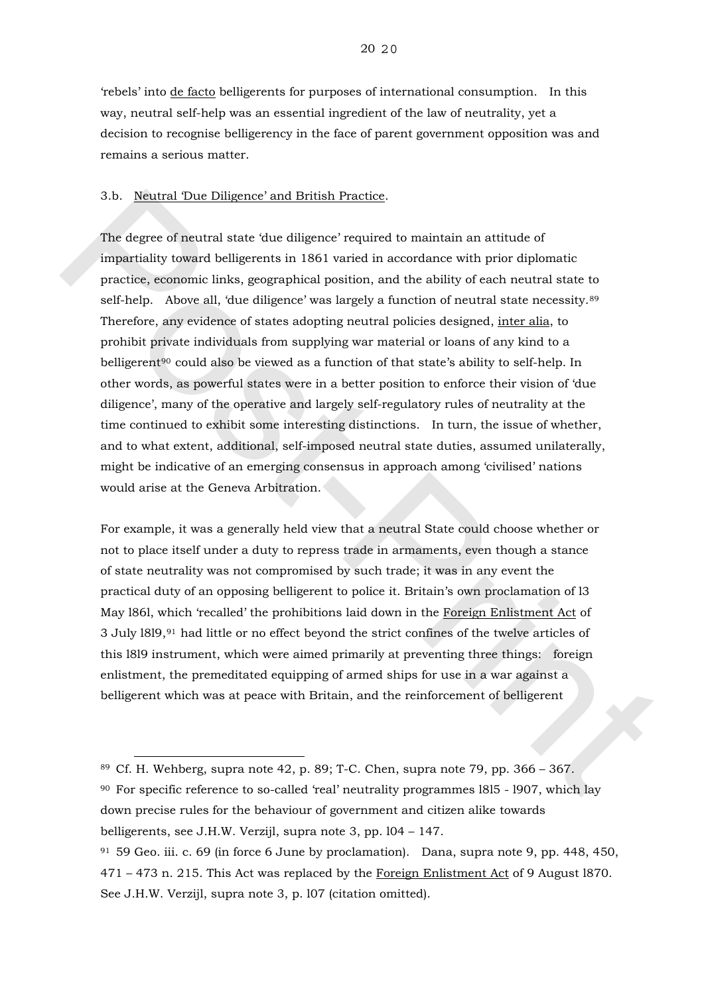'rebels' into de facto belligerents for purposes of international consumption. In this way, neutral self-help was an essential ingredient of the law of neutrality, yet a decision to recognise belligerency in the face of parent government opposition was and remains a serious matter.

# 3.b. Neutral 'Due Diligence' and British Practice.

The degree of neutral state 'due diligence' required to maintain an attitude of impartiality toward belligerents in 1861 varied in accordance with prior diplomatic practice, economic links, geographical position, and the ability of each neutral state to self-help. Above all, 'due diligence' was largely a function of neutral state necessity.<sup>89</sup> Therefore, any evidence of states adopting neutral policies designed, inter alia, to prohibit private individuals from supplying war material or loans of any kind to a belligerent<sup>90</sup> could also be viewed as a function of that state's ability to self-help. In other words, as powerful states were in a better position to enforce their vision of 'due diligence', many of the operative and largely self-regulatory rules of neutrality at the time continued to exhibit some interesting distinctions. In turn, the issue of whether, and to what extent, additional, self-imposed neutral state duties, assumed unilaterally, might be indicative of an emerging consensus in approach among 'civilised' nations would arise at the Geneva Arbitration. 3.b. Neutral 'D[o](#page-19-1)e Diligence' and British Practice.<br>
The degree of neutral state 'due diligence' required to maintain an attitude of<br>
impartality toway of belligencest in 1861 varied in accordance with prior diplomatic<br>
pr

For example, it was a generally held view that a neutral State could choose whether or not to place itself under a duty to repress trade in armaments, even though a stance of state neutrality was not compromised by such trade; it was in any event the practical duty of an opposing belligerent to police it. Britain's own proclamation of l3 May l86l, which 'recalled' the prohibitions laid down in the Foreign Enlistment Act of 3 July l8l9,91 had little or no effect beyond the strict confines of the twelve articles of this l8l9 instrument, which were aimed primarily at preventing three things: foreign enlistment, the premeditated equipping of armed ships for use in a war against a belligerent which was at peace with Britain, and the reinforcement of belligerent

<span id="page-19-1"></span><span id="page-19-0"></span> $89$  Cf. H. Wehberg, supra note 42, p. 89; T-C. Chen, supra note 79, pp. 366 – 367. 90 For specific reference to so-called 'real' neutrality programmes l8l5 - l907, which lay down precise rules for the behaviour of government and citizen alike towards belligerents, see J.H.W. Verzijl, supra note 3, pp. l04 – 147.

<span id="page-19-2"></span> $91\,59$  Geo. iii. c. 69 (in force 6 June by proclamation). Dana, supra note 9, pp. 448, 450, 471 – 473 n. 215. This Act was replaced by the Foreign Enlistment Act of 9 August l870. See J.H.W. Verzijl, supra note 3, p. l07 (citation omitted).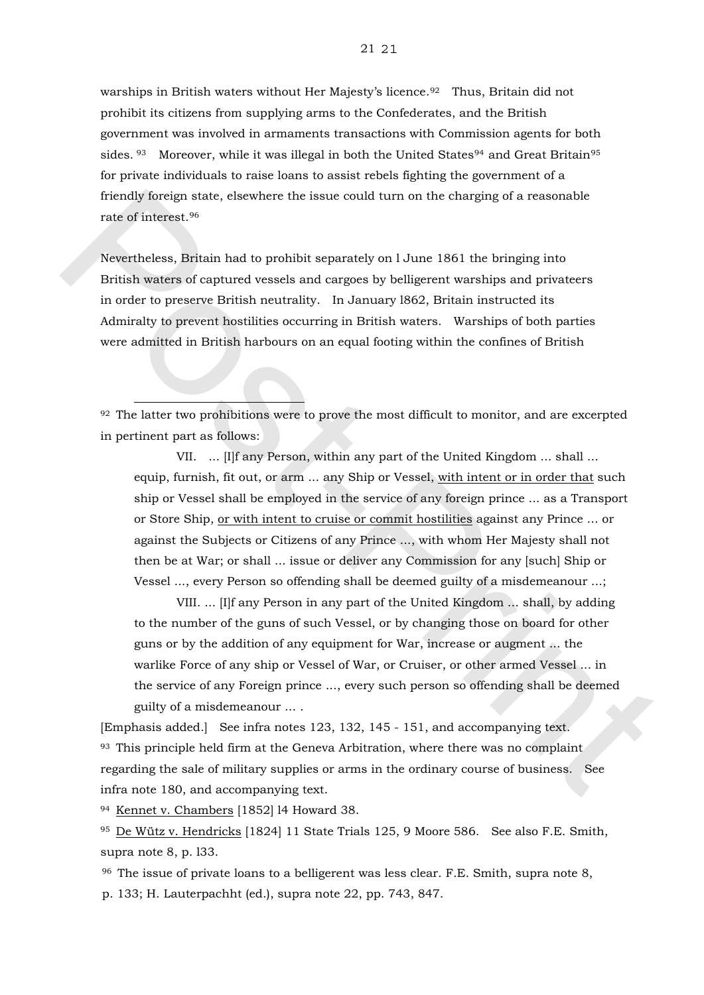warships in British waters without Her Majesty's licence.<sup>[92](#page-20-0)</sup> Thus, Britain did not prohibit its citizens from supplying arms to the Confederates, and the British government was involved in armaments transactions with Commission agents for both sides.  $93$  Moreover, while it was illegal in both the United States  $94$  and Great Britain  $95$ for private individuals to raise loans to assist rebels fighting the government of a friendly foreign state, elsewhere the issue could turn on the charging of a reasonable rate of interest.96

Nevertheless, Britain had to prohibit separately on l June 1861 the bringing into British waters of captured vessels and cargoes by belligerent warships and privateers in order to preserve British neutrality. In January l862, Britain instructed its Admiralty to prevent hostilities occurring in British waters. Warships of both parties were admitted in British harbours on an equal footing within the confines of British

<span id="page-20-0"></span><sup>92</sup> The latter two prohibitions were to prove the most difficult to monitor, and are excerpted in pertinent part as follows:

VII. ... [I]f any Person, within any part of the United Kingdom ... shall ... equip, furnish, fit out, or arm ... any Ship or Vessel, with intent or in order that such ship or Vessel shall be employed in the service of any foreign prince ... as a Transport or Store Ship, or with intent to cruise or commit hostilities against any Prince ... or against the Subjects or Citizens of any Prince ..., with whom Her Majesty shall not then be at War; or shall ... issue or deliver any Commission for any [such] Ship or Vessel ..., every Person so offending shall be deemed guilty of a misdemeanour ...; friendly foreign state, elsewhere the issue could turn on the charging of a reasonable<br>
rate of interest.<sup>36</sup><br>
Newth<sup>-1666</sup>s, Britain had to probibit separately on 1.1une 1861 the bringing into<br>
Neuthah wasters of capture

VIII. ... [I]f any Person in any part of the United Kingdom ... shall, by adding to the number of the guns of such Vessel, or by changing those on board for other guns or by the addition of any equipment for War, increase or augment ... the warlike Force of any ship or Vessel of War, or Cruiser, or other armed Vessel ... in the service of any Foreign prince ..., every such person so offending shall be deemed guilty of a misdemeanour ... .

<span id="page-20-1"></span>[Emphasis added.] See infra notes 123, 132, 145 - 151, and accompanying text. 93 This principle held firm at the Geneva Arbitration, where there was no complaint regarding the sale of military supplies or arms in the ordinary course of business. See infra note 180, and accompanying text.

<span id="page-20-2"></span><sup>94</sup> Kennet v. Chambers [1852] l4 Howard 38.

<span id="page-20-3"></span><sup>95</sup> De Wütz v. Hendricks [1824] 11 State Trials 125, 9 Moore 586. See also F.E. Smith, supra note 8, p. l33.

<span id="page-20-4"></span> $96$  The issue of private loans to a belligerent was less clear. F.E. Smith, supra note 8, p. 133; H. Lauterpachht (ed.), supra note 22, pp. 743, 847.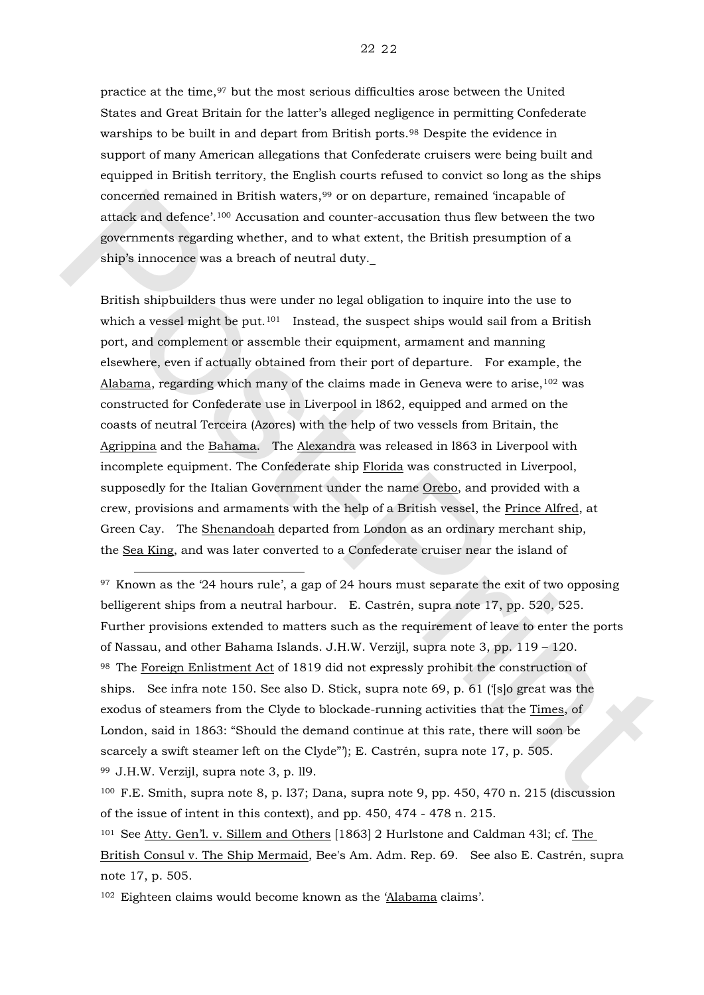practice at the time,  $97$  but the most serious difficulties arose between the United States and Great Britain for the latter's alleged negligence in permitting Confederate warships to be built in and depart from British ports.<sup>[98](#page-21-1)</sup> Despite the evidence in support of many American allegations that Confederate cruisers were being built and equipped in British territory, the English courts refused to convict so long as the ships concerned remained in British waters,<sup>99</sup> or on departure, remained 'incapable of attack and defence'.100 Accusation and counter-accusation thus flew between the two governments regarding whether, and to what extent, the British presumption of a ship's innocence was a breach of neutral duty.

British shipbuilders thus were under no legal obligation to inquire into the use to which a vessel might be put.<sup>101</sup> Instead, the suspect ships would sail from a British port, and complement or assemble their equipment, armament and manning elsewhere, even if actually obtained from their port of departure. For example, the Alabama, regarding which many of the claims made in Geneva were to arise,  $102$  was constructed for Confederate use in Liverpool in l862, equipped and armed on the coasts of neutral Terceira (Azores) with the help of two vessels from Britain, the Agrippina and the Bahama. The Alexandra was released in l863 in Liverpool with incomplete equipment. The Confederate ship Florida was constructed in Liverpool, supposedly for the Italian Government under the name Orebo, and provided with a crew, provisions and armaments with the help of a British vessel, the Prince Alfred, at Green Cay. The Shenandoah departed from London as an ordinary merchant ship, the Sea King, and was later converted to a Confederate cruiser near the island of concerning in Elitial watters.<sup>30</sup> or on departure, remained the<br>rapid or match and defined in Strian where, we can depend the strict and<br>attack and defence is of contact and counter-accuration thus flew between the two<br>g

<span id="page-21-1"></span><span id="page-21-0"></span> 97 Known as the '24 hours rule', a gap of 24 hours must separate the exit of two opposing belligerent ships from a neutral harbour. E. Castrén, supra note 17, pp. 520, 525. Further provisions extended to matters such as the requirement of leave to enter the ports of Nassau, and other Bahama Islands. J.H.W. Verzijl, supra note 3, pp. 119 – 120. 98 The Foreign Enlistment Act of 1819 did not expressly prohibit the construction of ships. See infra note 150. See also D. Stick, supra note 69, p. 61 ('[s]o great was the exodus of steamers from the Clyde to blockade-running activities that the Times, of London, said in 1863: "Should the demand continue at this rate, there will soon be scarcely a swift steamer left on the Clyde"'); E. Castrén, supra note 17, p. 505. 99 J.H.W. Verzijl, supra note 3, p. ll9.

<span id="page-21-3"></span><span id="page-21-2"></span>100 F.E. Smith, supra note 8, p. l37; Dana, supra note 9, pp. 450, 470 n. 215 (discussion of the issue of intent in this context), and pp. 450, 474 - 478 n. 215.

<span id="page-21-4"></span>101 See Atty. Gen'l. v. Sillem and Others [1863] 2 Hurlstone and Caldman 43l; cf. The British Consul v. The Ship Mermaid, Bee's Am. Adm. Rep. 69. See also E. Castrén, supra note 17, p. 505.

<span id="page-21-5"></span>102 Eighteen claims would become known as the 'Alabama claims'.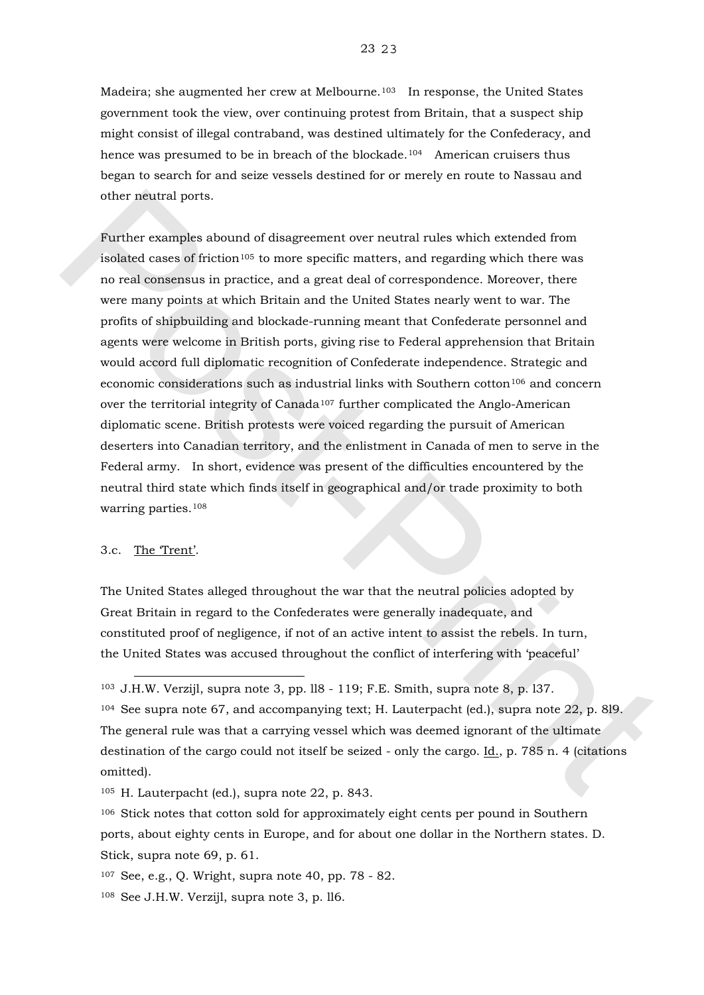Madeira; she augmented her crew at Melbourne.<sup>[103](#page-22-0)</sup> In response, the United States government took the view, over continuing protest from Britain, that a suspect ship might consist of illegal contraband, was destined ultimately for the Confederacy, and hence was presumed to be in breach of the blockade.<sup>[104](#page-22-1)</sup> American cruisers thus began to search for and seize vessels destined for or merely en route to Nassau and other neutral ports.

Further examples abound of disagreement over neutral rules which extended from isolated cases of friction<sup>105</sup> to more specific matters, and regarding which there was no real consensus in practice, and a great deal of correspondence. Moreover, there were many points at which Britain and the United States nearly went to war. The profits of shipbuilding and blockade-running meant that Confederate personnel and agents were welcome in British ports, giving rise to Federal apprehension that Britain would accord full diplomatic recognition of Confederate independence. Strategic and economic considerations such as industrial links with Southern cotton<sup>106</sup> and concern over the territorial integrity of Canada<sup>107</sup> further complicated the Anglo-American diplomatic scene. British protests were voiced regarding the pursuit of American deserters into Canadian territory, and the enlistment in Canada of men to serve in the Federal army. In short, evidence was present of the difficulties encountered by the neutral third state which finds itself in geographical and/or trade proximity to both warring parties.108 o[t](#page-22-4)her neutral ports.<br>
Further examples abound of disagreement over neutral rules which extended from<br>
isolated cases of friction-we none specific matters, and examples which there was<br>
no real conseration in practice, and

# 3.c. The 'Trent'.

The United States alleged throughout the war that the neutral policies adopted by Great Britain in regard to the Confederates were generally inadequate, and constituted proof of negligence, if not of an active intent to assist the rebels. In turn, the United States was accused throughout the conflict of interfering with 'peaceful'

<span id="page-22-1"></span>104 See supra note 67, and accompanying text; H. Lauterpacht (ed.), supra note 22, p. 8l9. The general rule was that a carrying vessel which was deemed ignorant of the ultimate destination of the cargo could not itself be seized - only the cargo. Id., p. 785 n. 4 (citations omitted).

<span id="page-22-0"></span> <sup>103</sup> J.H.W. Verzijl, supra note 3, pp. ll8 - 119; F.E. Smith, supra note 8, p. l37.

<span id="page-22-2"></span><sup>105</sup> H. Lauterpacht (ed.), supra note 22, p. 843.

<span id="page-22-3"></span><sup>106</sup> Stick notes that cotton sold for approximately eight cents per pound in Southern ports, about eighty cents in Europe, and for about one dollar in the Northern states. D. Stick, supra note 69, p. 61.

<span id="page-22-4"></span><sup>107</sup> See, e.g., Q. Wright, supra note 40, pp. 78 - 82.

<span id="page-22-5"></span><sup>108</sup> See J.H.W. Verzijl, supra note 3, p. ll6.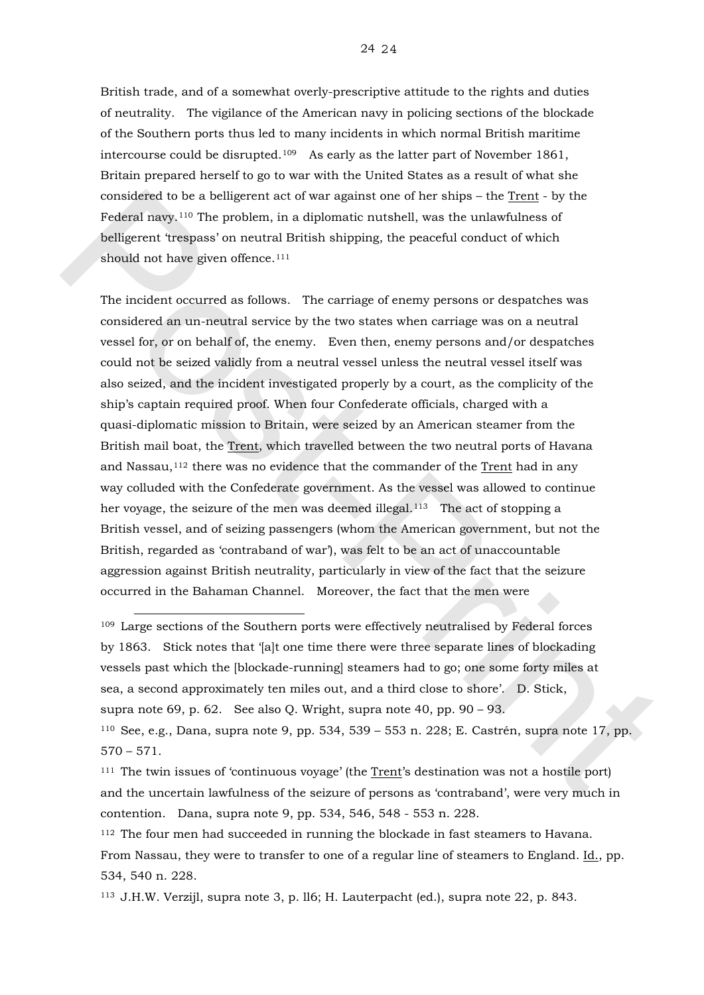British trade, and of a somewhat overly-prescriptive attitude to the rights and duties of neutrality. The vigilance of the American navy in policing sections of the blockade of the Southern ports thus led to many incidents in which normal British maritime intercourse could be disrupted.[109](#page-23-0) As early as the latter part of November 1861, Britain prepared herself to go to war with the United States as a result of what she considered to be a belligerent act of war against one of her ships – the Trent - by the Federal navy.110 The problem, in a diplomatic nutshell, was the unlawfulness of belligerent 'trespass' on neutral British shipping, the peaceful conduct of which should not have given offence.  $111$ 

The incident occurred as follows. The carriage of enemy persons or despatches was considered an un-neutral service by the two states when carriage was on a neutral vessel for, or on behalf of, the enemy. Even then, enemy persons and/or despatches could not be seized validly from a neutral vessel unless the neutral vessel itself was also seized, and the incident investigated properly by a court, as the complicity of the ship's captain required proof. When four Confederate officials, charged with a quasi-diplomatic mission to Britain, were seized by an American steamer from the British mail boat, the Trent, which travelled between the two neutral ports of Havana and Nassau,  $112$  there was no evidence that the commander of the Trent had in any way colluded with the Confederate government. As the vessel was allowed to continue her voyage, the seizure of the men was deemed illegal.<sup>113</sup> The act of stopping a British vessel, and of seizing passengers (whom the American government, but not the British, regarded as 'contraband of war'), was felt to be an act of unaccountable aggression against British neutrality, particularly in view of the fact that the seizure occurred in the Bahaman Channel. Moreover, the fact that the men were considered to be a be<br>thigerent act of war against one of her ships - the Treative by the<br>Federal range.<sup>131</sup> De problem, in a diplomatic mutable), was the undawithess of<br>beligerent trespass on neutral British shipping, t

<span id="page-23-0"></span> 109 Large sections of the Southern ports were effectively neutralised by Federal forces by 1863. Stick notes that '[a]t one time there were three separate lines of blockading vessels past which the [blockade-running] steamers had to go; one some forty miles at sea, a second approximately ten miles out, and a third close to shore'. D. Stick, supra note  $69$ , p.  $62$ . See also Q. Wright, supra note  $40$ , pp.  $90 - 93$ .

<span id="page-23-1"></span>110 See, e.g., Dana, supra note 9, pp. 534, 539 – 553 n. 228; E. Castrén, supra note 17, pp. 570 – 571.

<span id="page-23-2"></span><sup>111</sup> The twin issues of 'continuous voyage' (the Trent's destination was not a hostile port) and the uncertain lawfulness of the seizure of persons as 'contraband', were very much in contention. Dana, supra note 9, pp. 534, 546, 548 - 553 n. 228.

<span id="page-23-3"></span>112 The four men had succeeded in running the blockade in fast steamers to Havana. From Nassau, they were to transfer to one of a regular line of steamers to England. Id., pp. 534, 540 n. 228.

<span id="page-23-4"></span>113 J.H.W. Verzijl, supra note 3, p. ll6; H. Lauterpacht (ed.), supra note 22, p. 843.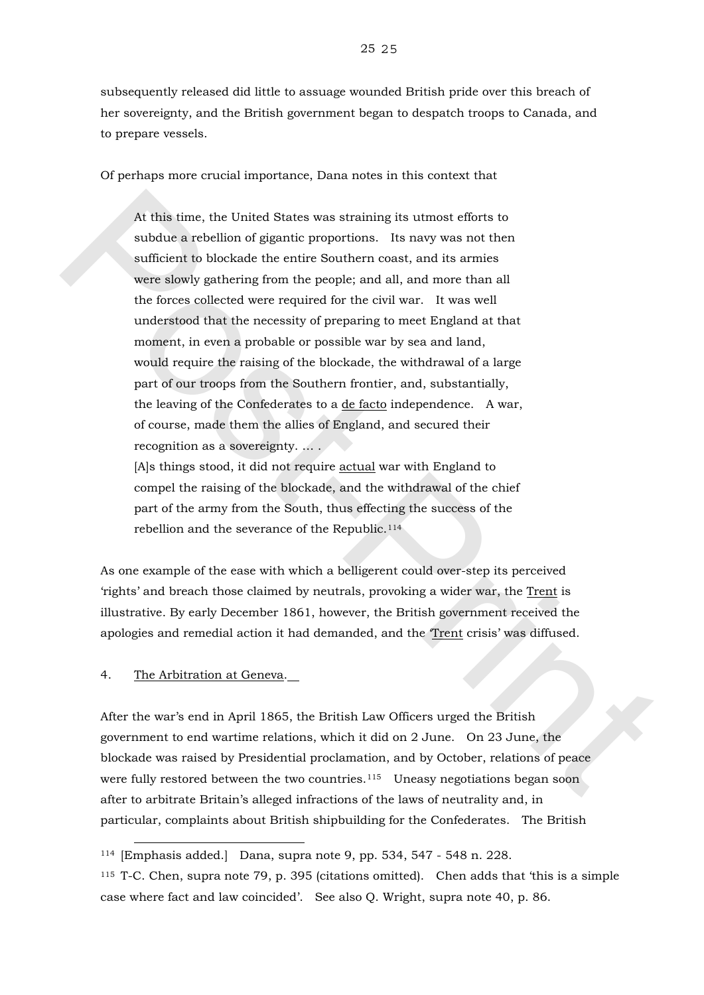subsequently released did little to assuage wounded British pride over this breach of her sovereignty, and the British government began to despatch troops to Canada, and to prepare vessels.

Of perhaps more crucial importance, Dana notes in this context that

At this time, the United States was straining its utmost efforts to subdue a rebellion of gigantic proportions. Its navy was not then sufficient to blockade the entire Southern coast, and its armies were slowly gathering from the people; and all, and more than all the forces collected were required for the civil war. It was well understood that the necessity of preparing to meet England at that moment, in even a probable or possible war by sea and land, would require the raising of the blockade, the withdrawal of a large part of our troops from the Southern frontier, and, substantially, the leaving of the Confederates to a de facto independence. A war, of course, made them the allies of England, and secured their recognition as a sovereignty. … . At this time, the United States was straining its utmost efforts to<br>subdue a rebellion of gigantic proportions. Its navy was not then<br>entirelevent in bolocolate the entire Southern coast, and its armies<br>were silevily gath

[A]s things stood, it did not require actual war with England to compel the raising of the blockade, and the withdrawal of the chief part of the army from the South, thus effecting the success of the rebellion and the severance of the Republic.<sup>114</sup>

As one example of the ease with which a belligerent could over-step its perceived 'rights' and breach those claimed by neutrals, provoking a wider war, the Trent is illustrative. By early December 1861, however, the British government received the apologies and remedial action it had demanded, and the 'Trent crisis' was diffused.

# 4. The Arbitration at Geneva.

After the war's end in April 1865, the British Law Officers urged the British government to end wartime relations, which it did on 2 June. On 23 June, the blockade was raised by Presidential proclamation, and by October, relations of peace were fully restored between the two countries.<sup>115</sup> Uneasy negotiations began soon after to arbitrate Britain's alleged infractions of the laws of neutrality and, in particular, complaints about British shipbuilding for the Confederates. The British

<span id="page-24-0"></span> <sup>114 [</sup>Emphasis added.] Dana, supra note 9, pp. 534, 547 - 548 n. 228.

<span id="page-24-1"></span><sup>115</sup> T-C. Chen, supra note 79, p. 395 (citations omitted). Chen adds that 'this is a simple case where fact and law coincided'. See also Q. Wright, supra note 40, p. 86.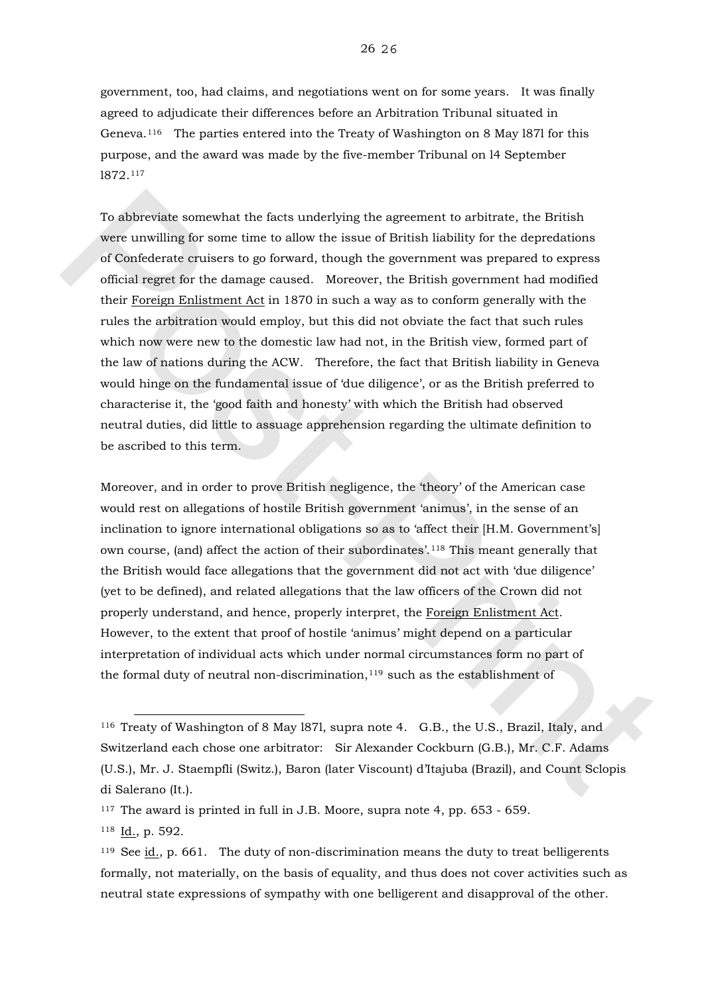government, too, had claims, and negotiations went on for some years. It was finally agreed to adjudicate their differences before an Arbitration Tribunal situated in Geneva.<sup>[116](#page-25-0)</sup> The parties entered into the Treaty of Washington on 8 May 1871 for this purpose, and the award was made by the five-member Tribunal on l4 September l872.[117](#page-25-1)

To abbreviate somewhat the facts underlying the agreement to arbitrate, the British were unwilling for some time to allow the issue of British liability for the depredations of Confederate cruisers to go forward, though the government was prepared to express official regret for the damage caused. Moreover, the British government had modified their Foreign Enlistment Act in 1870 in such a way as to conform generally with the rules the arbitration would employ, but this did not obviate the fact that such rules which now were new to the domestic law had not, in the British view, formed part of the law of nations during the ACW. Therefore, the fact that British liability in Geneva would hinge on the fundamental issue of 'due diligence', or as the British preferred to characterise it, the 'good faith and honesty' with which the British had observed neutral duties, did little to assuage apprehension regarding the ultimate definition to be ascribed to this term. To abbreviate somewhat the facts underlying the agreement to arbitrate, the British<br>were unwilling for some time to allow the issue of British hability for the depredations<br>of Cofiedrate chilosts to go forward, though the

Moreover, and in order to prove British negligence, the 'theory' of the American case would rest on allegations of hostile British government 'animus', in the sense of an inclination to ignore international obligations so as to 'affect their [H.M. Government's] own course, (and) affect the action of their subordinates'.118 This meant generally that the British would face allegations that the government did not act with 'due diligence' (yet to be defined), and related allegations that the law officers of the Crown did not properly understand, and hence, properly interpret, the Foreign Enlistment Act. However, to the extent that proof of hostile 'animus' might depend on a particular interpretation of individual acts which under normal circumstances form no part of the formal duty of neutral non-discrimination,119 such as the establishment of

<span id="page-25-0"></span> <sup>116</sup> Treaty of Washington of 8 May l87l, supra note 4. G.B., the U.S., Brazil, Italy, and Switzerland each chose one arbitrator: Sir Alexander Cockburn (G.B.), Mr. C.F. Adams (U.S.), Mr. J. Staempfli (Switz.), Baron (later Viscount) d'Itajuba (Brazil), and Count Sclopis di Salerano (It.).

<span id="page-25-1"></span><sup>117</sup> The award is printed in full in J.B. Moore, supra note 4, pp. 653 - 659.

<span id="page-25-2"></span><sup>118</sup> Id., p. 592.

<span id="page-25-3"></span> $119$  See id., p. 661. The duty of non-discrimination means the duty to treat belligerents formally, not materially, on the basis of equality, and thus does not cover activities such as neutral state expressions of sympathy with one belligerent and disapproval of the other.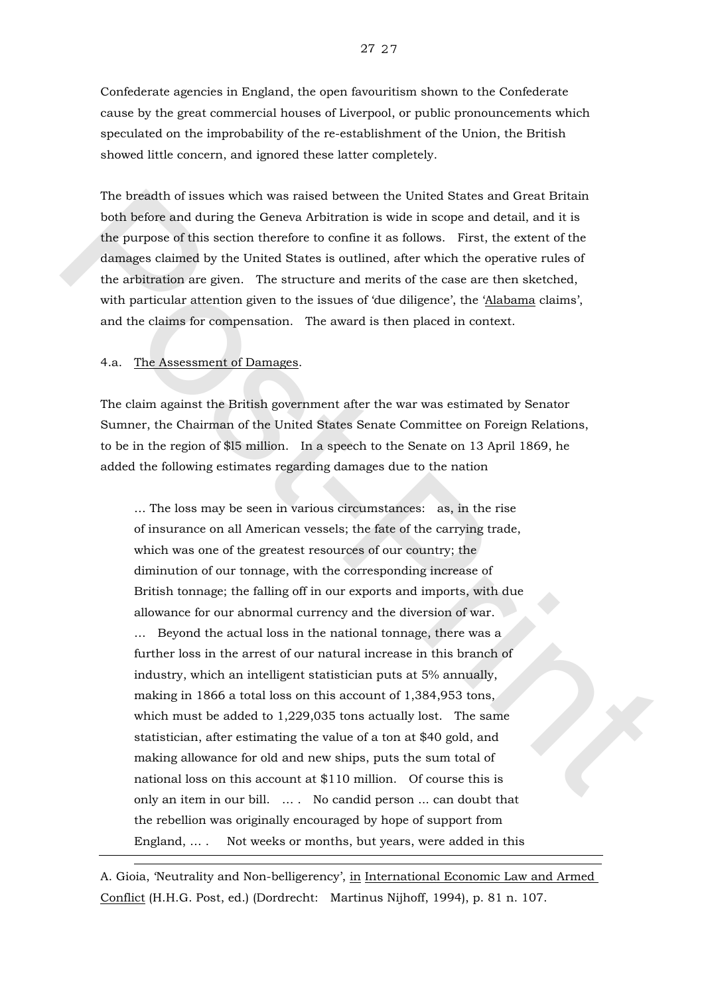Confederate agencies in England, the open favouritism shown to the Confederate cause by the great commercial houses of Liverpool, or public pronouncements which speculated on the improbability of the re-establishment of the Union, the British showed little concern, and ignored these latter completely.

The breadth of issues which was raised between the United States and Great Britain both before and during the Geneva Arbitration is wide in scope and detail, and it is the purpose of this section therefore to confine it as follows. First, the extent of the damages claimed by the United States is outlined, after which the operative rules of the arbitration are given. The structure and merits of the case are then sketched, with particular attention given to the issues of 'due diligence', the 'Alabama claims', and the claims for compensation. The award is then placed in context.

## 4.a. The Assessment of Damages.

l

The claim against the British government after the war was estimated by Senator Sumner, the Chairman of the United States Senate Committee on Foreign Relations, to be in the region of \$l5 million. In a speech to the Senate on 13 April 1869, he added the following estimates regarding damages due to the nation

… The loss may be seen in various circumstances: as, in the rise of insurance on all American vessels; the fate of the carrying trade, which was one of the greatest resources of our country; the diminution of our tonnage, with the corresponding increase of British tonnage; the falling off in our exports and imports, with due allowance for our abnormal currency and the diversion of war. … Beyond the actual loss in the national tonnage, there was a further loss in the arrest of our natural increase in this branch of industry, which an intelligent statistician puts at 5% annually, making in 1866 a total loss on this account of 1,384,953 tons, which must be added to 1,229,035 tons actually lost. The same statistician, after estimating the value of a ton at \$40 gold, and making allowance for old and new ships, puts the sum total of national loss on this account at \$110 million. Of course this is only an item in our bill. … . No candid person ... can doubt that the rebellion was originally encouraged by hope of support from England, ... . Not weeks or months, but years, were added in this The breakth of issues which was realised between the United States and Great Britain<br>
both before and during the Geneva Arbitration is wide in scope and detail, and it is<br>
the purpose of this section therefore to confine

A. Gioia, 'Neutrality and Non-belligerency', in International Economic Law and Armed Conflict (H.H.G. Post, ed.) (Dordrecht: Martinus Nijhoff, 1994), p. 81 n. 107.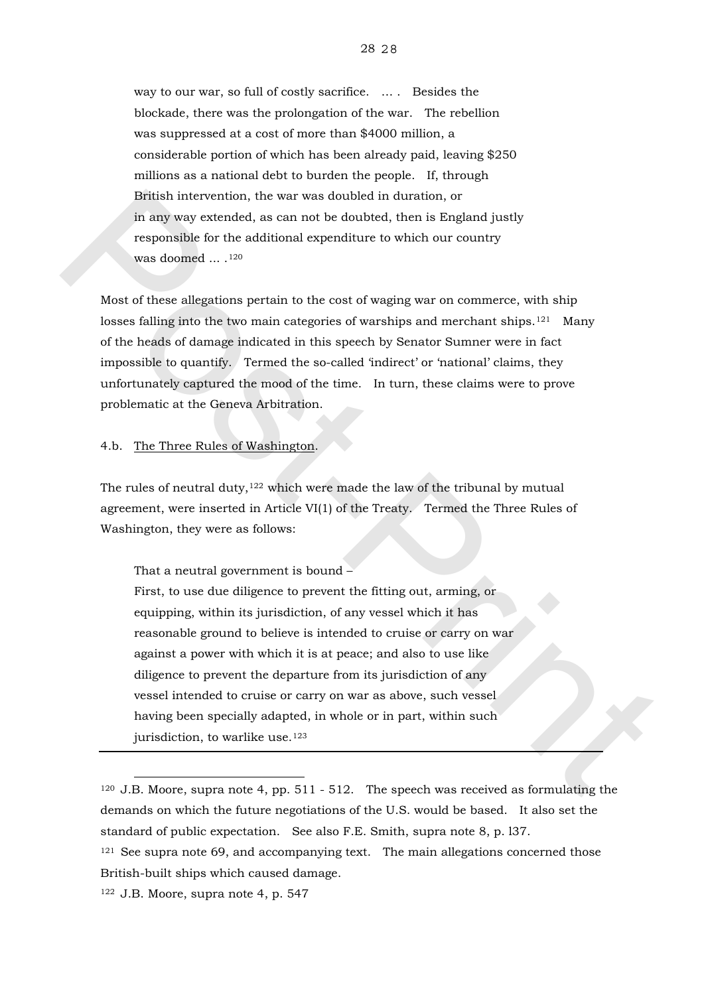way to our war, so full of costly sacrifice. … . Besides the blockade, there was the prolongation of the war. The rebellion was suppressed at a cost of more than \$4000 million, a considerable portion of which has been already paid, leaving \$250 millions as a national debt to burden the people. If, through British intervention, the war was doubled in duration, or in any way extended, as can not be doubted, then is England justly responsible for the additional expenditure to which our country was doomed ... .<sup>120</sup>

Most of these allegations pertain to the cost of waging war on commerce, with ship losses falling into the two main categories of warships and merchant ships.<sup>121</sup> Many of the heads of damage indicated in this speech by Senator Sumner were in fact impossible to quantify. Termed the so-called 'indirect' or 'national' claims, they unfortunately captured the mood of the time. In turn, these claims were to prove problematic at the Geneva Arbitration.

### 4.b. The Three Rules of Washington.

The rules of neutral duty, $122$  which were made the law of the tribunal by mutual agreement, were inserted in Article VI(1) of the Treaty. Termed the Three Rules of Washington, they were as follows:

That a neutral government is bound –

First, to use due diligence to prevent the fitting out, arming, or equipping, within its jurisdiction, of any vessel which it has reasonable ground to believe is intended to cruise or carry on war against a power with which it is at peace; and also to use like diligence to prevent the departure from its jurisdiction of any vessel intended to cruise or carry on war as above, such vessel having been specially adapted, in whole or in part, within such jurisdiction, to warlike use.<sup>123</sup> Bei[t](#page-27-2)sh intervention, the wave was doubled in duration, or<br>Findery intervention, as can not be dombted, then is England justly<br>responsible for the additional expenditure to which our country<br>was doomed ....<sup>220</sup><br>Most of th

<span id="page-27-3"></span><span id="page-27-0"></span><sup>120</sup> J.B. Moore, supra note 4, pp.  $511 - 512$ . The speech was received as formulating the demands on which the future negotiations of the U.S. would be based. It also set the standard of public expectation. See also F.E. Smith, supra note 8, p. l37.

<span id="page-27-1"></span> $121$  See supra note 69, and accompanying text. The main allegations concerned those British-built ships which caused damage.

<span id="page-27-2"></span> $122$  J.B. Moore, supra note 4, p. 547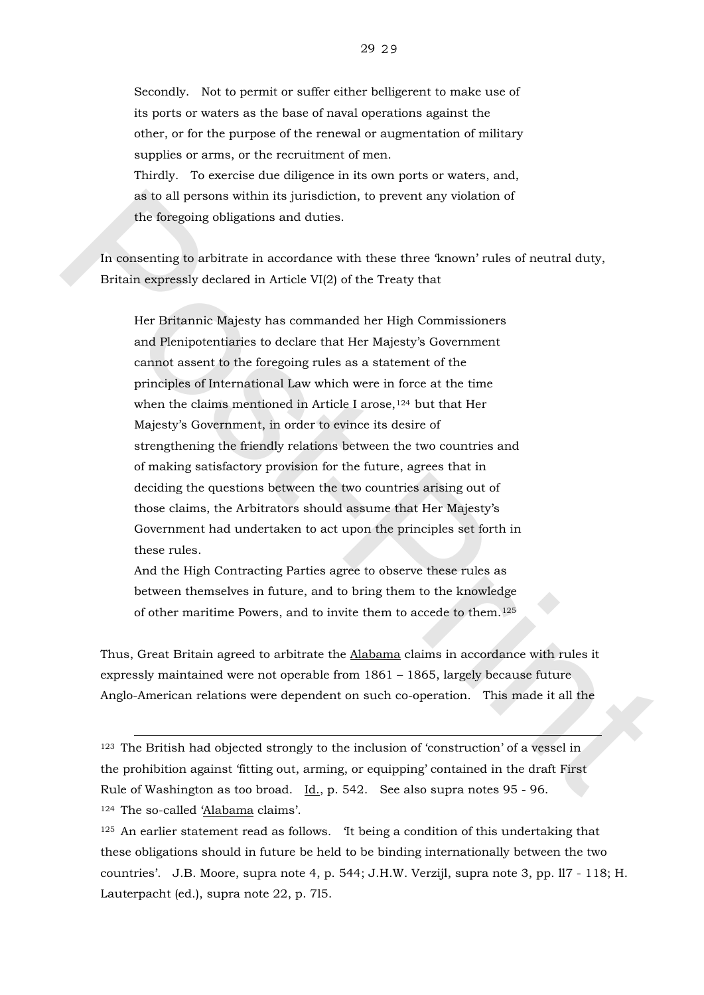Secondly. Not to permit or suffer either belligerent to make use of its ports or waters as the base of naval operations against the other, or for the purpose of the renewal or augmentation of military supplies or arms, or the recruitment of men. Thirdly. To exercise due diligence in its own ports or waters, and, as to all persons within its jurisdiction, to prevent any violation of the foregoing obligations and duties.

In consenting to arbitrate in accordance with these three 'known' rules of neutral duty, Britain expressly declared in Article VI(2) of the Treaty that

Her Britannic Majesty has commanded her High Commissioners and Plenipotentiaries to declare that Her Majesty's Government cannot assent to the foregoing rules as a statement of the principles of International Law which were in force at the time when the claims mentioned in Article I arose,  $124$  but that Her Majesty's Government, in order to evince its desire of strengthening the friendly relations between the two countries and of making satisfactory provision for the future, agrees that in deciding the questions between the two countries arising out of those claims, the Arbitrators should assume that Her Majesty's Government had undertaken to act upon the principles set forth in these rules. as to all persons within its ju[ri](#page-28-1)sdiction, to prevent any violation of<br>the foregoing obligations and duties.<br>In consenting to arbitrate in accordance with these three factors' rules of neutral duty,<br>Britain expressiy decl

And the High Contracting Parties agree to observe these rules as between themselves in future, and to bring them to the knowledge of other maritime Powers, and to invite them to accede to them.125

Thus, Great Britain agreed to arbitrate the Alabama claims in accordance with rules it expressly maintained were not operable from 1861 – 1865, largely because future Anglo-American relations were dependent on such co-operation. This made it all the

 123 The British had objected strongly to the inclusion of 'construction' of a vessel in the prohibition against 'fitting out, arming, or equipping' contained in the draft First Rule of Washington as too broad. Id., p. 542. See also supra notes 95 - 96. 124 The so-called 'Alabama claims'.

<span id="page-28-1"></span><span id="page-28-0"></span>125 An earlier statement read as follows. 'It being a condition of this undertaking that these obligations should in future be held to be binding internationally between the two countries'. J.B. Moore, supra note 4, p. 544; J.H.W. Verzijl, supra note 3, pp. ll7 - 118; H. Lauterpacht (ed.), supra note 22, p. 7l5.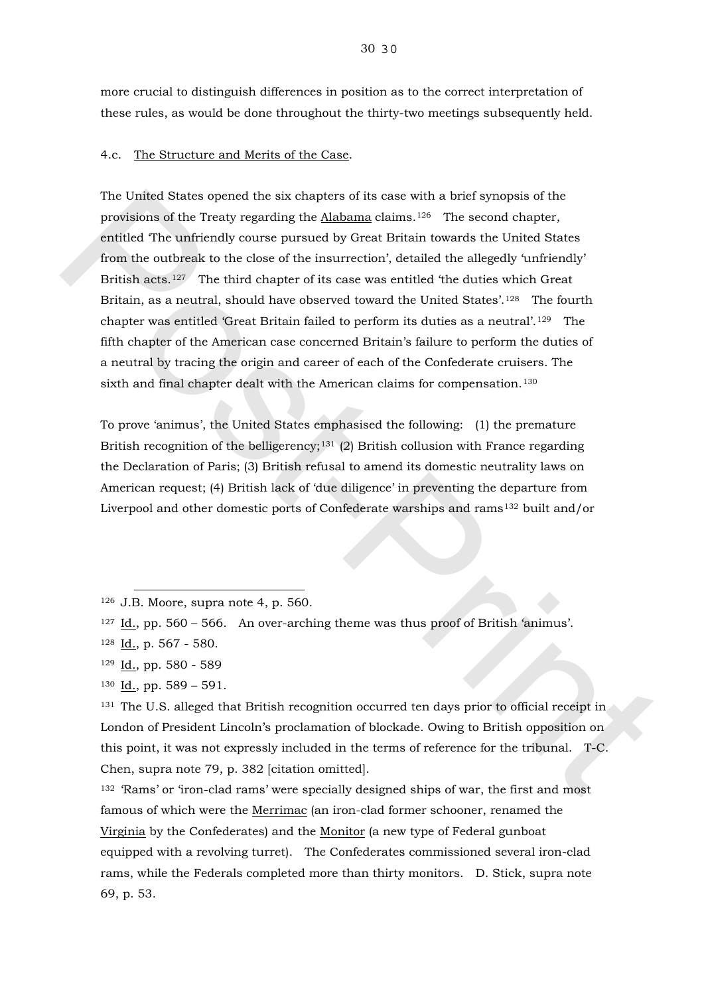30 30

more crucial to distinguish differences in position as to the correct interpretation of these rules, as would be done throughout the thirty-two meetings subsequently held.

# 4.c. The Structure and Merits of the Case.

The United States opened the six chapters of its case with a brief synopsis of the provisions of the Treaty regarding the Alabama claims.126 The second chapter, entitled 'The unfriendly course pursued by Great Britain towards the United States from the outbreak to the close of the insurrection', detailed the allegedly 'unfriendly' British acts.127 The third chapter of its case was entitled 'the duties which Great Britain, as a neutral, should have observed toward the United States'.<sup>128</sup> The fourth chapter was entitled 'Great Britain failed to perform its duties as a neutral'.129 The fifth chapter of the American case concerned Britain's failure to perform the duties of a neutral by tracing the origin and career of each of the Confederate cruisers. The sixth and final chapter dealt with the American claims for compensation.<sup>130</sup> The Uni[t](#page-29-5)ed Stutes operated the six chapters of its case with a brief symptosis of the frequencies of the frequency of the Aliaham claims, <sup>136</sup>. The second chapter, emitted The unificently covare pursued by Great Britain

To prove 'animus', the United States emphasised the following: (1) the premature British recognition of the belligerency;<sup>131</sup> (2) British collusion with France regarding the Declaration of Paris; (3) British refusal to amend its domestic neutrality laws on American request; (4) British lack of 'due diligence' in preventing the departure from Liverpool and other domestic ports of Confederate warships and rams132 built and/or

- <span id="page-29-3"></span><sup>129</sup> Id., pp. 580 - 589
- <span id="page-29-4"></span> $130$  Id., pp.  $589 - 591$ .

<span id="page-29-5"></span><sup>131</sup> The U.S. alleged that British recognition occurred ten days prior to official receipt in London of President Lincoln's proclamation of blockade. Owing to British opposition on this point, it was not expressly included in the terms of reference for the tribunal. T-C. Chen, supra note 79, p. 382 [citation omitted].

<span id="page-29-6"></span>132 'Rams' or 'iron-clad rams' were specially designed ships of war, the first and most famous of which were the Merrimac (an iron-clad former schooner, renamed the Virginia by the Confederates) and the Monitor (a new type of Federal gunboat equipped with a revolving turret). The Confederates commissioned several iron-clad rams, while the Federals completed more than thirty monitors. D. Stick, supra note 69, p. 53.

<span id="page-29-0"></span> $126$  J.B. Moore, supra note 4, p. 560.

<span id="page-29-1"></span><sup>127</sup> Id., pp. 560 – 566. An over-arching theme was thus proof of British 'animus'.

<span id="page-29-2"></span><sup>128</sup> Id., p. 567 - 580.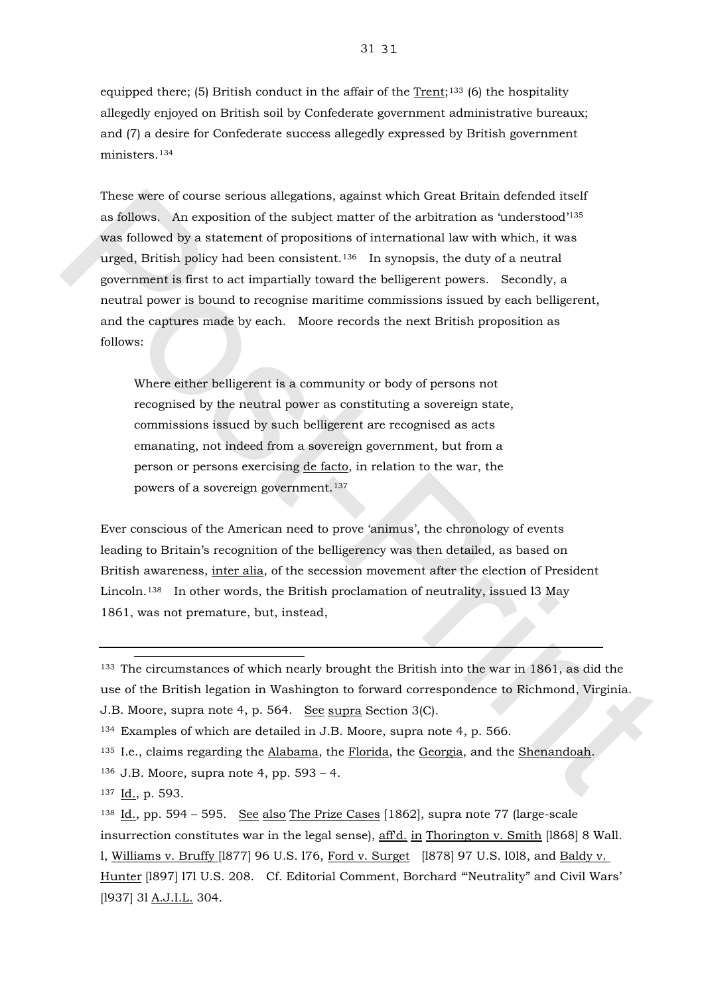equipped there; (5) British conduct in the affair of the  $Trent;^{133}$  $Trent;^{133}$  $Trent;^{133}$  (6) the hospitality allegedly enjoyed on British soil by Confederate government administrative bureaux; and (7) a desire for Confederate success allegedly expressed by British government ministers.[134](#page-30-1)

These were of course serious allegations, against which Great Britain defended itself as follows. An exposition of the subject matter of the arbitration as 'understood'135 was followed by a statement of propositions of international law with which, it was urged, British policy had been consistent.<sup>136</sup> In synopsis, the duty of a neutral government is first to act impartially toward the belligerent powers.Secondly, a neutral power is bound to recognise maritime commissions issued by each belligerent, and the captures made by each. Moore records the next British proposition as follows: These verte of course serious and<br>gaugitons, a gaugiton of the subject matter of the arbitration as 'understood'19<br>
was followed by a statement of propositions of international law with which, it was<br>
vas followed by a st

Where either belligerent is a community or body of persons not recognised by the neutral power as constituting a sovereign state, commissions issued by such belligerent are recognised as acts emanating, not indeed from a sovereign government, but from a person or persons exercising de facto, in relation to the war, the powers of a sovereign government.137

Ever conscious of the American need to prove 'animus', the chronology of events leading to Britain's recognition of the belligerency was then detailed, as based on British awareness, inter alia, of the secession movement after the election of President Lincoln.138 In other words, the British proclamation of neutrality, issued l3 May 1861, was not premature, but, instead,

<span id="page-30-4"></span><sup>137</sup> Id., p. 593.

<span id="page-30-5"></span>138 Id., pp. 594 – 595. See also The Prize Cases [1862], supra note 77 (large-scale insurrection constitutes war in the legal sense), aff'd. in Thorington v. Smith [l868] 8 Wall. l, Williams v. Bruffy [l877] 96 U.S. l76, Ford v. Surget [l878] 97 U.S. l0l8, and Baldy v. Hunter [l897] l7l U.S. 208. Cf. Editorial Comment, Borchard '"Neutrality" and Civil Wars' [1937] 31 A.J.I.L. 304.

<span id="page-30-0"></span> <sup>133</sup> The circumstances of which nearly brought the British into the war in 1861, as did the use of the British legation in Washington to forward correspondence to Richmond, Virginia. J.B. Moore, supra note 4, p. 564. See supra Section 3(C).

<span id="page-30-1"></span><sup>134</sup> Examples of which are detailed in J.B. Moore, supra note 4, p. 566.

<span id="page-30-2"></span><sup>135</sup> I.e., claims regarding the Alabama, the Florida, the Georgia, and the Shenandoah.

<span id="page-30-3"></span><sup>136</sup> J.B. Moore, supra note 4, pp. 593 – 4.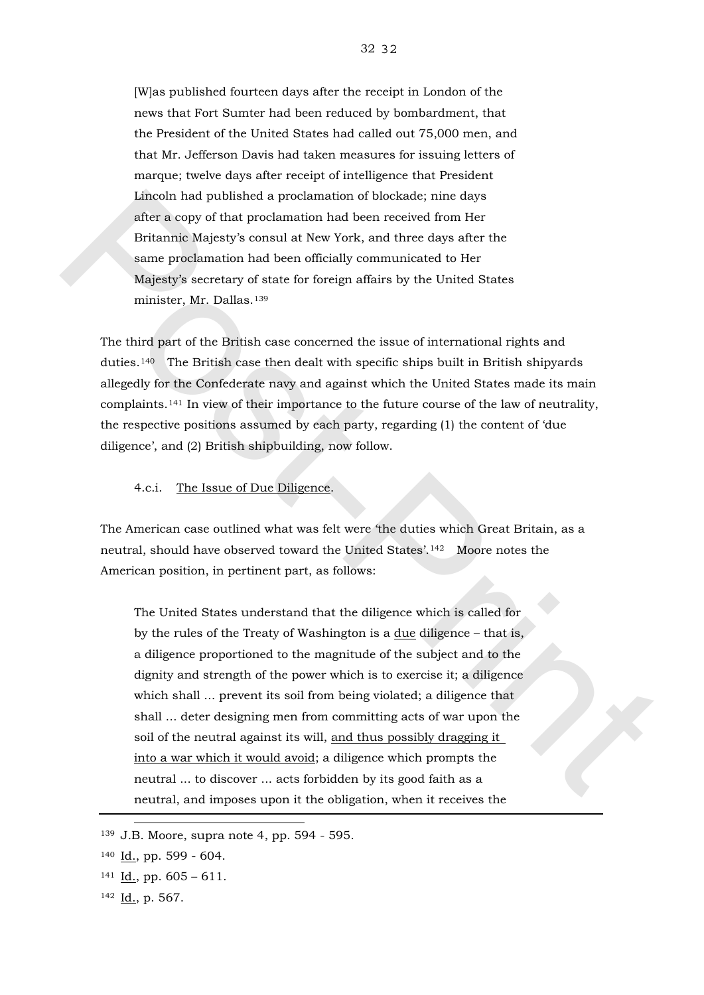[W]as published fourteen days after the receipt in London of the news that Fort Sumter had been reduced by bombardment, that the President of the United States had called out 75,000 men, and that Mr. Jefferson Davis had taken measures for issuing letters of marque; twelve days after receipt of intelligence that President Lincoln had published a proclamation of blockade; nine days after a copy of that proclamation had been received from Her Britannic Majesty's consul at New York, and three days after the same proclamation had been officially communicated to Her Majesty's secretary of state for foreign affairs by the United States minister, Mr. Dallas.139

The third part of the British case concerned the issue of international rights and duties.140 The British case then dealt with specific ships built in British shipyards allegedly for the Confederate navy and against which the United States made its main complaints.141 In view of their importance to the future course of the law of neutrality, the respective positions assumed by each party, regarding (1) the content of 'due diligence', and (2) British shipbuilding, now follow.

4.c.i. The Issue of Due Diligence.

The American case outlined what was felt were 'the duties which Great Britain, as a neutral, should have observed toward the United States'.142 Moore notes the American position, in pertinent part, as follows:

The United States understand that the diligence which is called for by the rules of the Treaty of Washington is a due diligence – that is, a diligence proportioned to the magnitude of the subject and to the dignity and strength of the power which is to exercise it; a diligence which shall ... prevent its soil from being violated; a diligence that shall ... deter designing men from committing acts of war upon the soil of the neutral against its will, and thus possibly dragging it into a war which it would avoid; a diligence which prompts the neutral ... to discover ... acts forbidden by its good faith as a neutral, and imposes upon it the obligation, when it receives the Linc[o](#page-31-1)ln had published a proclamation of blockeis; rime days<br>and a finite and published a proclamation bad been received from Her<br>
Britannic Majeraty's consul at New York, and three days after the<br>
same profederation had b

<span id="page-31-3"></span>142 Id., p. 567.

<span id="page-31-0"></span> <sup>139</sup> J.B. Moore, supra note 4, pp. 594 - 595.

<span id="page-31-1"></span><sup>140</sup> Id., pp. 599 - 604.

<span id="page-31-2"></span> $141$  Id., pp.  $605 - 611$ .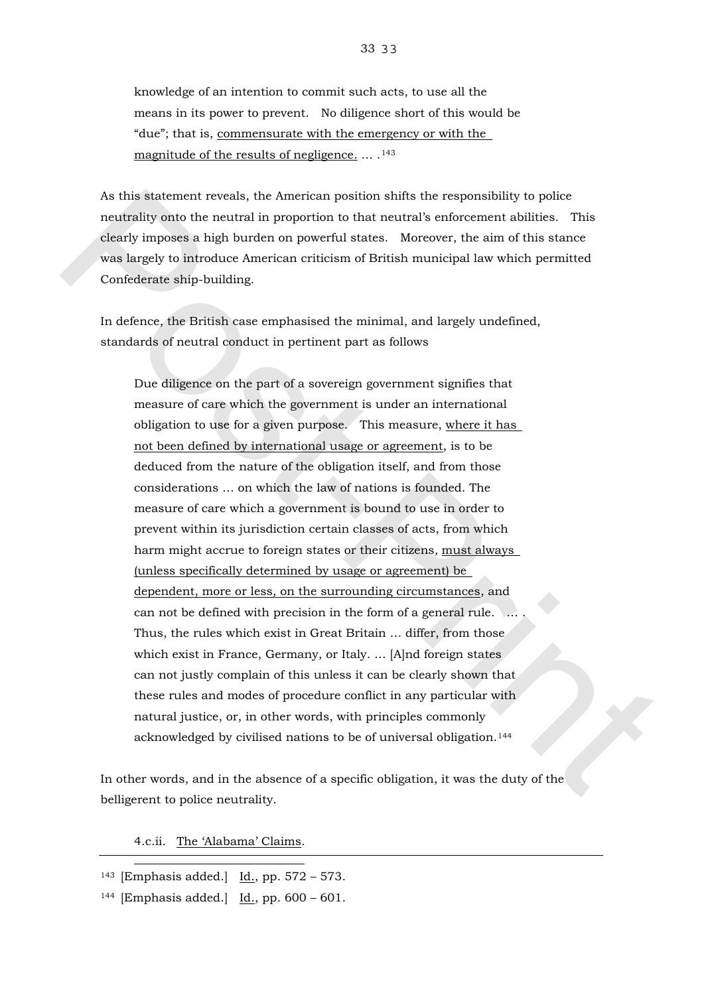knowledge of an intention to commit such acts, to use all the means in its power to prevent. No diligence short of this would be "due"; that is, commensurate with the emergency or with the magnitude of the results of negligence. ... .<sup>143</sup>

As this statement reveals, the American position shifts the responsibility to police neutrality onto the neutral in proportion to that neutral's enforcement abilities. This clearly imposes a high burden on powerful states. Moreover, the aim of this stance was largely to introduce American criticism of British municipal law which permitted Confederate ship-building.

In defence, the British case emphasised the minimal, and largely undefined, standards of neutral conduct in pertinent part as follows

Due diligence on the part of a sovereign government signifies that measure of care which the government is under an international obligation to use for a given purpose. This measure, where it has not been defined by international usage or agreement, is to be deduced from the nature of the obligation itself, and from those considerations … on which the law of nations is founded. The measure of care which a government is bound to use in order to prevent within its jurisdiction certain classes of acts, from which harm might accrue to foreign states or their citizens*,* must always (unless specifically determined by usage or agreement) be dependent, more or less, on the surrounding circumstances, and can not be defined with precision in the form of a general rule. … . Thus, the rules which exist in Great Britain … differ, from those which exist in France, Germany, or Italy. … [A]nd foreign states can not justly complain of this unless it can be clearly shown that these rules and modes of procedure conflict in any particular with natural justice, or, in other words, with principles commonly acknowledged by civilised nations to be of universal obligation.144 As this site<br>terms treveal, the America[n](#page-32-1) position shifts the responsibility to poice<br>an antrality onto the actural in proportion to that neutral's enforcement abilities. This<br>clearly imposes a high burden on powerful stat

In other words, and in the absence of a specific obligation, it was the duty of the belligerent to police neutrality.

4.c.ii. The 'Alabama' Claims.

- <span id="page-32-0"></span>143 [Emphasis added.] Id., pp. 572 – 573.
- <span id="page-32-1"></span><sup>144</sup> [Emphasis added.] <u>Id., pp. 600 – 601</u>.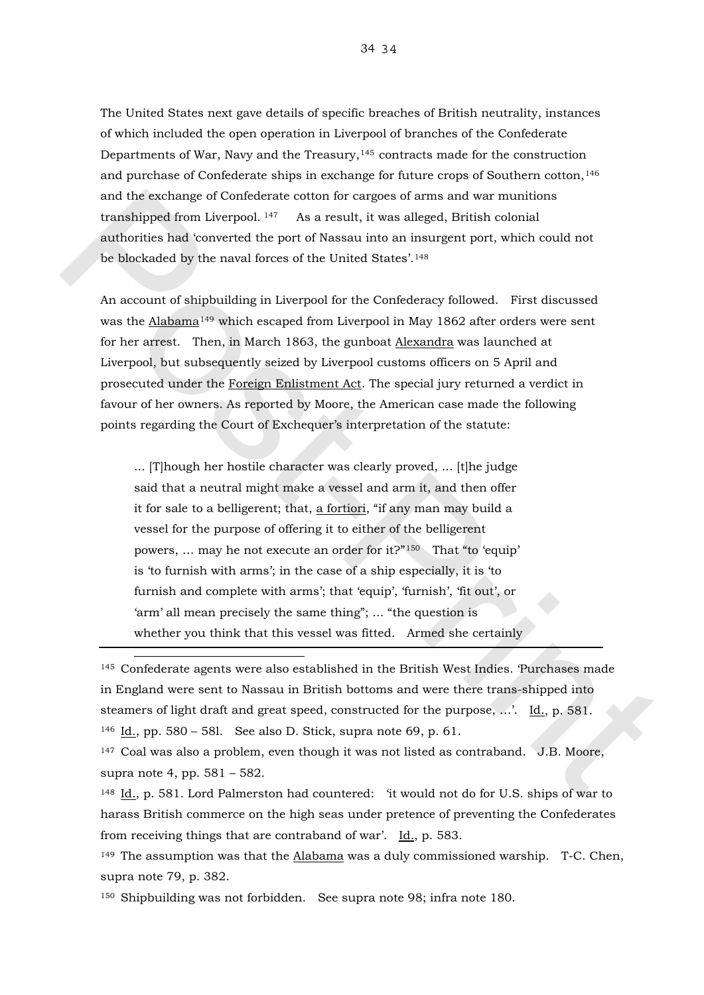34 34

The United States next gave details of specific breaches of British neutrality, instances of which included the open operation in Liverpool of branches of the Confederate Departments of War, Navy and the Treasury,[145](#page-33-0) contracts made for the construction and purchase of Confederate ships in exchange for future crops of Southern cotton,[146](#page-33-1) and the exchange of Confederate cotton for cargoes of arms and war munitions transhipped from Liverpool. 147 As a result, it was alleged, British colonial authorities had 'converted the port of Nassau into an insurgent port, which could not be blockaded by the naval forces of the United States'.<sup>148</sup>

An account of shipbuilding in Liverpool for the Confederacy followed. First discussed was the Alabama<sup>149</sup> which escaped from Liverpool in May 1862 after orders were sent for her arrest. Then, in March 1863, the gunboat Alexandra was launched at Liverpool, but subsequently seized by Liverpool customs officers on 5 April and prosecuted under the Foreign Enlistment Act. The special jury returned a verdict in favour of her owners. As reported by Moore, the American case made the following points regarding the Court of Exchequer's interpretation of the statute:

... [T]hough her hostile character was clearly proved, ... [t]he judge said that a neutral might make a vessel and arm it, and then offer it for sale to a belligerent; that, a fortiori, "if any man may build a vessel for the purpose of offering it to either of the belligerent powers, … may he not execute an order for it?"150 That "to 'equip' is 'to furnish with arms'; in the case of a ship especially, it is 'to furnish and complete with arms'; that 'equip', 'furnish', 'fit out', or 'arm' all mean precisely the same thing"; ... "the question is whether you think that this vessel was fitted. Armed she certainly and the exclusive of Confederate cotton for cargoes of arms and war matitions<br>transformed from Liverspoe form of cargoes of arms and we may consider a<br>surfaction and 'converted the port of Nassau into an insurgent port, w

<span id="page-33-3"></span><sup>148</sup> Id., p. 581. Lord Palmerston had countered: 'it would not do for U.S. ships of war to harass British commerce on the high seas under pretence of preventing the Confederates from receiving things that are contraband of war'. Id., p. 583.

<span id="page-33-4"></span>149 The assumption was that the Alabama was a duly commissioned warship. T-C. Chen, supra note 79, p. 382.

<span id="page-33-5"></span>150 Shipbuilding was not forbidden. See supra note 98; infra note 180.

<span id="page-33-0"></span> <sup>145</sup> Confederate agents were also established in the British West Indies. 'Purchases made in England were sent to Nassau in British bottoms and were there trans-shipped into steamers of light draft and great speed, constructed for the purpose, …'. Id., p. 581. <sup>146</sup> Id., pp. 580 – 58l. See also D. Stick, supra note 69, p. 61.

<span id="page-33-2"></span><span id="page-33-1"></span><sup>&</sup>lt;sup>147</sup> Coal was also a problem, even though it was not listed as contraband. J.B. Moore, supra note 4, pp. 581 – 582.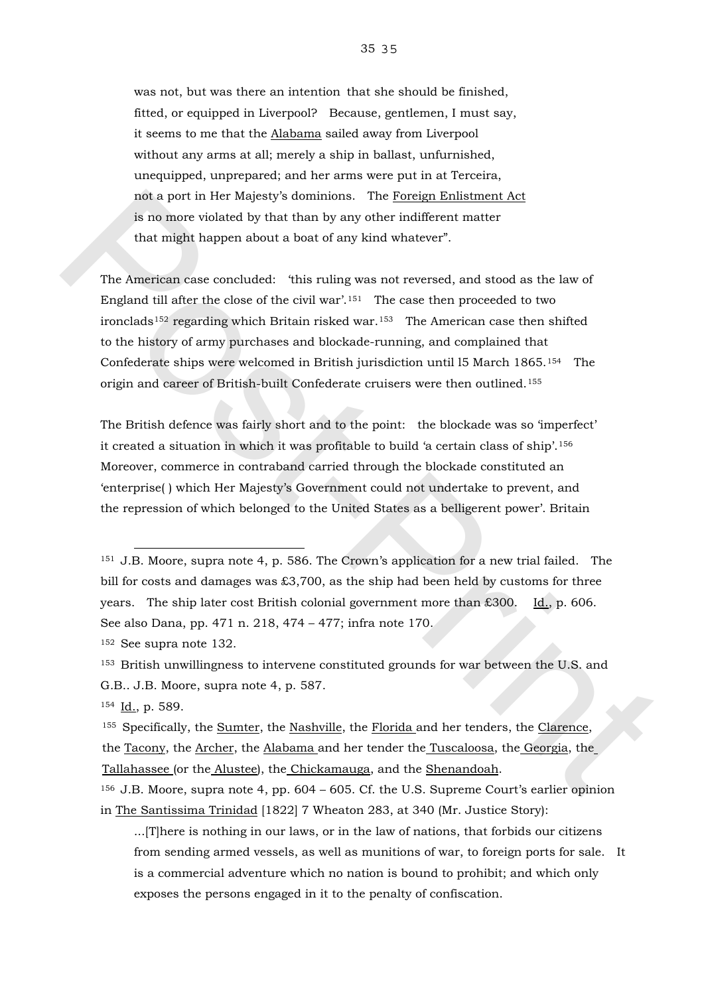was not, but was there an intention that she should be finished, fitted, or equipped in Liverpool? Because, gentlemen, I must say, it seems to me that the Alabama sailed away from Liverpool without any arms at all; merely a ship in ballast, unfurnished, unequipped, unprepared; and her arms were put in at Terceira, not a port in Her Majesty's dominions. The Foreign Enlistment Act is no more violated by that than by any other indifferent matter that might happen about a boat of any kind whatever".

The American case concluded: 'this ruling was not reversed, and stood as the law of England till after the close of the civil war'.<sup>151</sup> The case then proceeded to two ironclads<sup>152</sup> regarding which Britain risked war.<sup>153</sup> The American case then shifted to the history of army purchases and blockade-running, and complained that Confederate ships were welcomed in British jurisdiction until l5 March 1865.154 The origin and career of British-built Confederate cruisers were then outlined.155 mote port in Her Majesty's dominions. The <u>Protein</u> Enhiltment Act<br>is no more wiolated by that than by any orber indifferent matter<br>that might happen about a boat of any kind whatever".<br>The American case concluded: "this

The British defence was fairly short and to the point: the blockade was so 'imperfect' it created a situation in which it was profitable to build 'a certain class of ship'.156 Moreover, commerce in contraband carried through the blockade constituted an 'enterprise( ) which Her Majesty's Government could not undertake to prevent, and the repression of which belonged to the United States as a belligerent power'. Britain

<span id="page-34-1"></span>152 See supra note 132.

<span id="page-34-2"></span>153 British unwillingness to intervene constituted grounds for war between the U.S. and G.B.. J.B. Moore, supra note 4, p. 587.

<span id="page-34-3"></span><sup>154</sup> Id., p. 589.

<span id="page-34-4"></span><sup>155</sup> Specifically, the Sumter, the Nashville, the Florida and her tenders, the Clarence, the Tacony, the Archer, the Alabama and her tender the Tuscaloosa, the Georgia, the Tallahassee (or the Alustee), the Chickamauga, and the Shenandoah.

<span id="page-34-5"></span>156 J.B. Moore, supra note 4, pp. 604 – 605. Cf. the U.S. Supreme Court's earlier opinion in The Santissima Trinidad [1822] 7 Wheaton 283, at 340 (Mr. Justice Story):

...[T]here is nothing in our laws, or in the law of nations, that forbids our citizens from sending armed vessels, as well as munitions of war, to foreign ports for sale. It is a commercial adventure which no nation is bound to prohibit; and which only exposes the persons engaged in it to the penalty of confiscation.

<span id="page-34-0"></span> <sup>151</sup> J.B. Moore, supra note 4, p. 586. The Crown's application for a new trial failed. The bill for costs and damages was £3,700, as the ship had been held by customs for three years. The ship later cost British colonial government more than £300. Id., p. 606. See also Dana, pp. 471 n. 218, 474 – 477; infra note 170.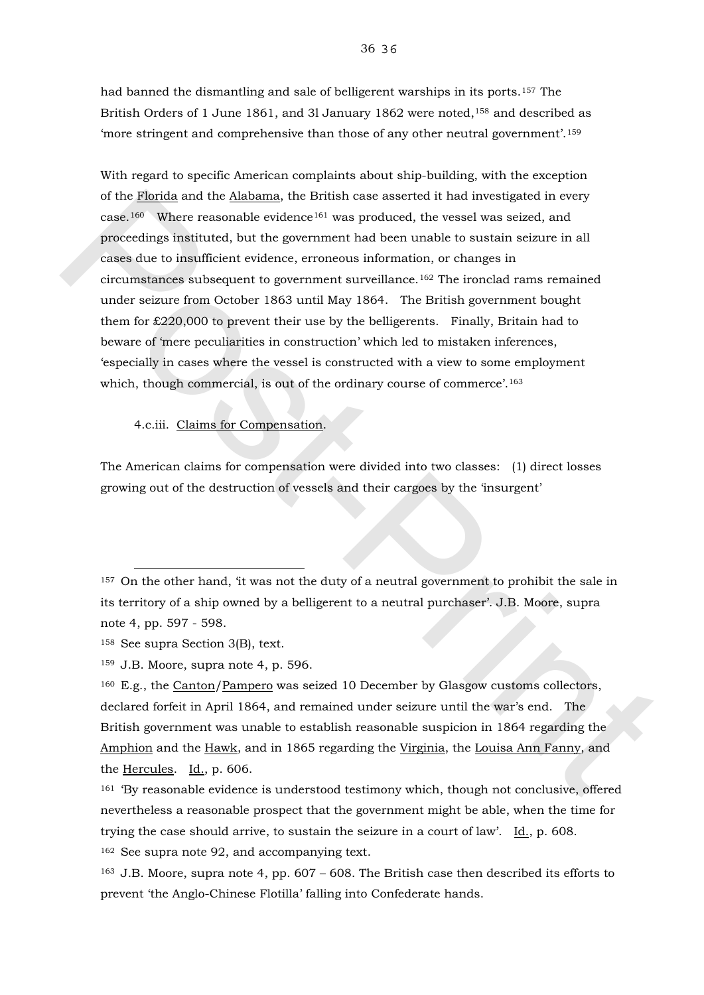had banned the dismantling and sale of belligerent warships in its ports.[157](#page-35-0) The British Orders of 1 June 1861, and 3l January 1862 were noted,<sup>[158](#page-35-1)</sup> and described as 'more stringent and comprehensive than those of any other neutral government'.[159](#page-35-2)

With regard to specific American complaints about ship-building, with the exception of the Florida and the Alabama, the British case asserted it had investigated in every case.<sup>160</sup> Where reasonable evidence<sup>161</sup> was produced, the vessel was seized, and proceedings instituted, but the government had been unable to sustain seizure in all cases due to insufficient evidence, erroneous information, or changes in circumstances subsequent to government surveillance.162 The ironclad rams remained under seizure from October 1863 until May 1864. The British government bought them for £220,000 to prevent their use by the belligerents. Finally, Britain had to beware of 'mere peculiarities in construction' which led to mistaken inferences, 'especially in cases where the vessel is constructed with a view to some employment which, though commercial, is out of the ordinary course of commerce'.<sup>163</sup> of the Efferida und the Alabamas, the Drividn case usserted it had investigated in every<br>case, the Theories case and the content of the system case of the system of the system of the system of the system of the system of

4.c.iii. Claims for Compensation.

The American claims for compensation were divided into two classes: (1) direct losses growing out of the destruction of vessels and their cargoes by the 'insurgent'

<span id="page-35-0"></span> 157 On the other hand, 'it was not the duty of a neutral government to prohibit the sale in its territory of a ship owned by a belligerent to a neutral purchaser'. J.B. Moore, supra note 4, pp. 597 - 598.

<span id="page-35-1"></span>158 See supra Section 3(B), text.

<span id="page-35-2"></span>159 J.B. Moore, supra note 4, p. 596.

<span id="page-35-3"></span>160 E.g., the Canton/Pampero was seized 10 December by Glasgow customs collectors, declared forfeit in April 1864, and remained under seizure until the war's end. The British government was unable to establish reasonable suspicion in 1864 regarding the Amphion and the Hawk, and in 1865 regarding the Virginia, the Louisa Ann Fanny, and the Hercules. Id., p. 606.

<span id="page-35-4"></span>161 'By reasonable evidence is understood testimony which, though not conclusive, offered nevertheless a reasonable prospect that the government might be able, when the time for trying the case should arrive, to sustain the seizure in a court of law'. Id., p. 608. 162 See supra note 92, and accompanying text.

<span id="page-35-6"></span><span id="page-35-5"></span>163 J.B. Moore, supra note 4, pp. 607 – 608. The British case then described its efforts to prevent 'the Anglo-Chinese Flotilla' falling into Confederate hands.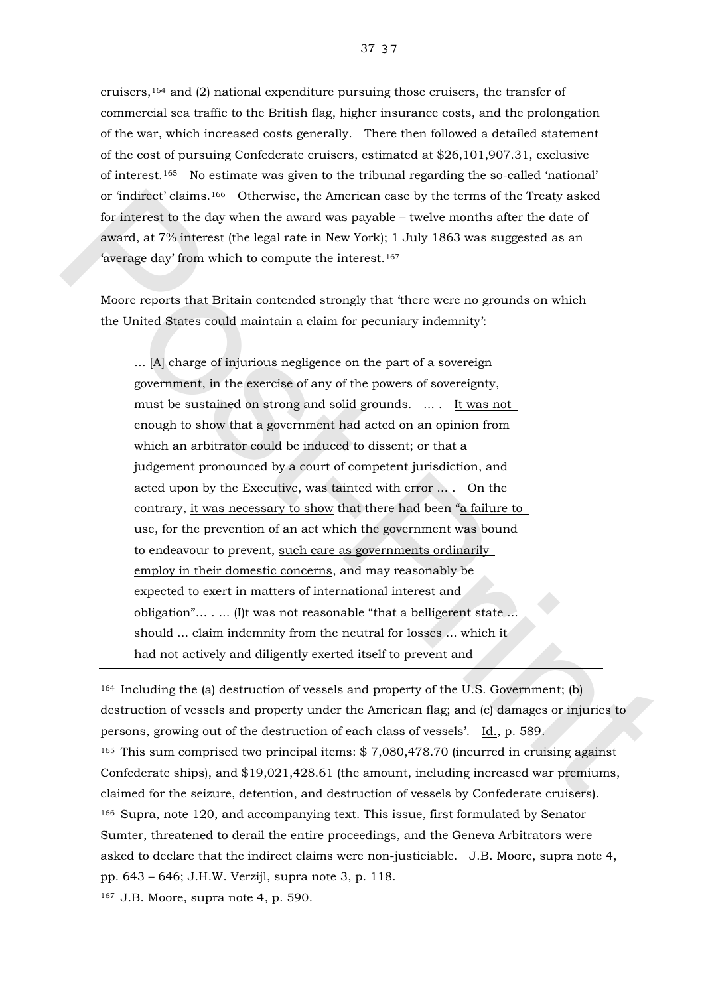cruisers,  $164$  and (2) national expenditure pursuing those cruisers, the transfer of commercial sea traffic to the British flag, higher insurance costs, and the prolongation of the war, which increased costs generally. There then followed a detailed statement of the cost of pursuing Confederate cruisers, estimated at \$26,101,907.31, exclusive of interest.[165](#page-36-1) No estimate was given to the tribunal regarding the so-called 'national' or 'indirect' claims.<sup>166</sup> Otherwise, the American case by the terms of the Treaty asked for interest to the day when the award was payable – twelve months after the date of award, at 7% interest (the legal rate in New York); 1 July 1863 was suggested as an 'average day' from which to compute the interest.167

Moore reports that Britain contended strongly that 'there were no grounds on which the United States could maintain a claim for pecuniary indemnity':

… [A] charge of injurious negligence on the part of a sovereign government, in the exercise of any of the powers of sovereignty, must be sustained on strong and solid grounds. ... It was not enough to show that a government had acted on an opinion from which an arbitrator could be induced to dissent; or that a judgement pronounced by a court of competent jurisdiction, and acted upon by the Executive, was tainted with error ... . On the contrary, it was necessary to show that there had been "a failure to use, for the prevention of an act which the government was bound to endeavour to prevent, such care as governments ordinarily employ in their domestic concerns, and may reasonably be expected to exert in matters of international interest and obligation"… . ... (I)t was not reasonable "that a belligerent state ... should ... claim indemnity from the neutral for losses ... which it had not actively and diligently exerted itself to prevent and or indiger<br>c'entimies <sup>1810</sup> Otherwise, the American cuse by the terms of the Teruty usince<br>for interest to the day when the award was payable – twelve months after the date of<br>sward, at 7% interest (the legal rate in New

<span id="page-36-1"></span><span id="page-36-0"></span> 164 Including the (a) destruction of vessels and property of the U.S. Government; (b) destruction of vessels and property under the American flag; and (c) damages or injuries to persons, growing out of the destruction of each class of vessels'. Id., p. 589. 165 This sum comprised two principal items: \$ 7,080,478.70 (incurred in cruising against Confederate ships), and \$19,021,428.61 (the amount, including increased war premiums, claimed for the seizure, detention, and destruction of vessels by Confederate cruisers). 166 Supra, note 120, and accompanying text. This issue, first formulated by Senator Sumter, threatened to derail the entire proceedings, and the Geneva Arbitrators were asked to declare that the indirect claims were non-justiciable. J.B. Moore, supra note 4, pp. 643 – 646; J.H.W. Verzijl, supra note 3, p. 118.

<span id="page-36-3"></span><span id="page-36-2"></span>167 J.B. Moore, supra note 4, p. 590.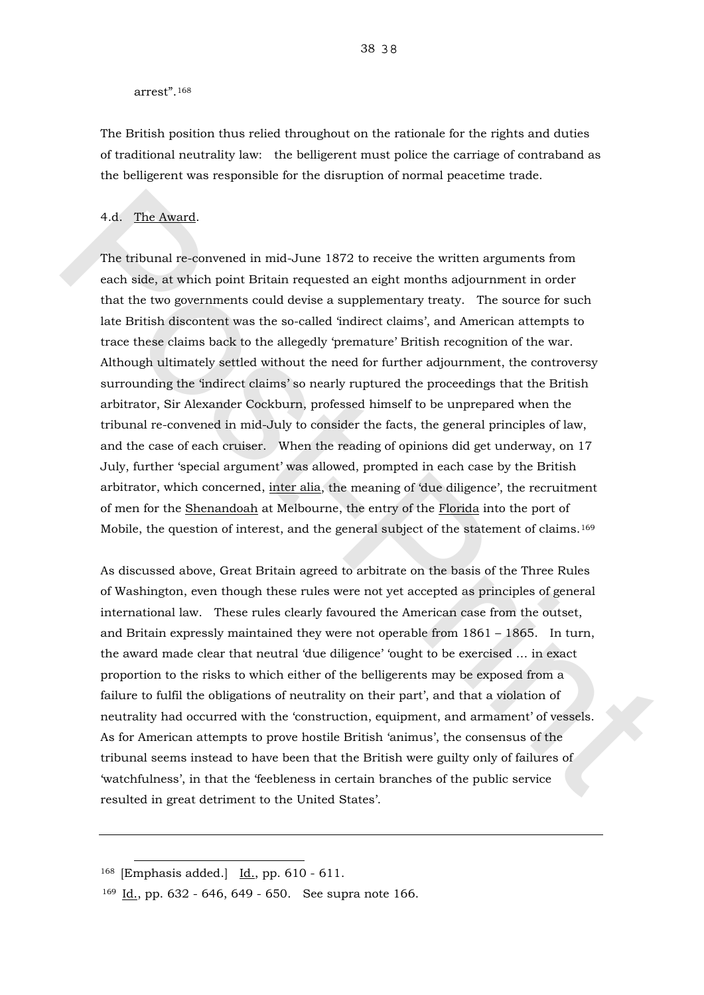38 38

#### arrest".[168](#page-37-0)

The British position thus relied throughout on the rationale for the rights and duties of traditional neutrality law: the belligerent must police the carriage of contraband as the belligerent was responsible for the disruption of normal peacetime trade.

### 4.d. The Award.

The tribunal re-convened in mid-June 1872 to receive the written arguments from each side, at which point Britain requested an eight months adjournment in order that the two governments could devise a supplementary treaty. The source for such late British discontent was the so-called 'indirect claims', and American attempts to trace these claims back to the allegedly 'premature' British recognition of the war. Although ultimately settled without the need for further adjournment, the controversy surrounding the 'indirect claims' so nearly ruptured the proceedings that the British arbitrator, Sir Alexander Cockburn, professed himself to be unprepared when the tribunal re-convened in mid-July to consider the facts, the general principles of law, and the case of each cruiser. When the reading of opinions did get underway, on 17 July, further 'special argument' was allowed, prompted in each case by the British arbitrator, which concerned, inter alia, the meaning of 'due diligence', the recruitment of men for the Shenandoah at Melbourne, the entry of the Florida into the port of Mobile, the question of interest, and the general subject of the statement of claims.<sup>169</sup> 4.d. The Award.<br>
The Hubrand re-convened in mid-June 1872 to receive the written arguments from<br>
reach side, at which point Britain requested an eight months adjournment in order<br>
that the two governments could devise a s

As discussed above, Great Britain agreed to arbitrate on the basis of the Three Rules of Washington, even though these rules were not yet accepted as principles of general international law. These rules clearly favoured the American case from the outset, and Britain expressly maintained they were not operable from 1861 – 1865. In turn, the award made clear that neutral 'due diligence' 'ought to be exercised … in exact proportion to the risks to which either of the belligerents may be exposed from a failure to fulfil the obligations of neutrality on their part', and that a violation of neutrality had occurred with the 'construction, equipment, and armament' of vessels. As for American attempts to prove hostile British 'animus', the consensus of the tribunal seems instead to have been that the British were guilty only of failures of 'watchfulness', in that the 'feebleness in certain branches of the public service resulted in great detriment to the United States'.

<span id="page-37-0"></span> <sup>168 [</sup>Emphasis added.] Id., pp. 610 - 611.

<span id="page-37-1"></span><sup>169</sup> Id., pp. 632 - 646, 649 - 650. See supra note 166.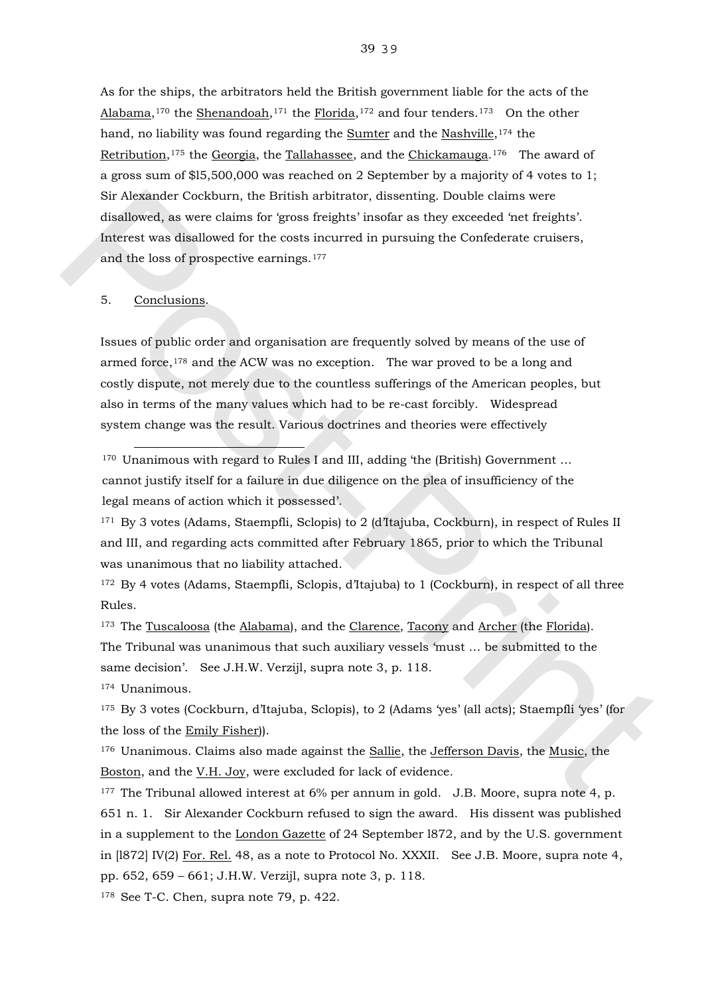As for the ships, the arbitrators held the British government liable for the acts of the Alabama,<sup>[170](#page-38-0)</sup> the Shenandoah,<sup>[171](#page-38-1)</sup> the Florida,<sup>[172](#page-38-2)</sup> and four tenders.<sup>[173](#page-38-3)</sup> On the other hand, no liability was found regarding the Sumter and the Nashville, <sup>174</sup> the Retribution,[175](#page-38-5) the Georgia, the Tallahassee, and the Chickamauga.[176](#page-38-6) The award of a gross sum of \$l5,500,000 was reached on 2 September by a majority of 4 votes to 1; Sir Alexander Cockburn, the British arbitrator, dissenting. Double claims were disallowed, as were claims for 'gross freights' insofar as they exceeded 'net freights'. Interest was disallowed for the costs incurred in pursuing the Confederate cruisers, and the loss of prospective earnings.177

#### 5. Conclusions.

Issues of public order and organisation are frequently solved by means of the use of armed force,  $178$  and the ACW was no exception. The war proved to be a long and costly dispute, not merely due to the countless sufferings of the American peoples, but also in terms of the many values which had to be re-cast forcibly. Widespread system change was the result. Various doctrines and theories were effectively Si Alexander C[o](#page-38-8)ckburn, the British arbitrator, disseming, Double chima were<br>Si Alexander Cockburn, the British arbitrator, disseming, Double chima were<br>disablewed, as were chima for 'groas freightits' linearing the Confed

<span id="page-38-0"></span> 170 Unanimous with regard to Rules I and III, adding 'the (British) Government … cannot justify itself for a failure in due diligence on the plea of insufficiency of the legal means of action which it possessed'.

<span id="page-38-1"></span>171 By 3 votes (Adams, Staempfli, Sclopis) to 2 (d'Itajuba, Cockburn), in respect of Rules II and III, and regarding acts committed after February 1865, prior to which the Tribunal was unanimous that no liability attached.

<span id="page-38-2"></span>172 By 4 votes (Adams, Staempfli, Sclopis, d'Itajuba) to 1 (Cockburn), in respect of all three Rules.

<span id="page-38-3"></span><sup>173</sup> The Tuscaloosa (the Alabama), and the Clarence, Tacony and Archer (the Florida). The Tribunal was unanimous that such auxiliary vessels 'must … be submitted to the same decision'. See J.H.W. Verzijl, supra note 3, p. 118.

<span id="page-38-4"></span>174 Unanimous.

<span id="page-38-5"></span>175 By 3 votes (Cockburn, d'Itajuba, Sclopis), to 2 (Adams 'yes' (all acts); Staempfli 'yes' (for the loss of the Emily Fisher)).

<span id="page-38-6"></span>176 Unanimous. Claims also made against the Sallie, the Jefferson Davis, the Music, the Boston, and the V.H. Joy, were excluded for lack of evidence.

<span id="page-38-7"></span><sup>177</sup> The Tribunal allowed interest at  $6\%$  per annum in gold. J.B. Moore, supra note 4, p. 651 n. 1. Sir Alexander Cockburn refused to sign the award. His dissent was published in a supplement to the London Gazette of 24 September l872, and by the U.S. government in  $[1872]$  IV(2) For. Rel. 48, as a note to Protocol No. XXXII. See J.B. Moore, supra note 4, pp. 652, 659 – 661; J.H.W. Verzijl, supra note 3, p. 118.

<span id="page-38-8"></span>178 See T-C. Chen, supra note 79, p. 422.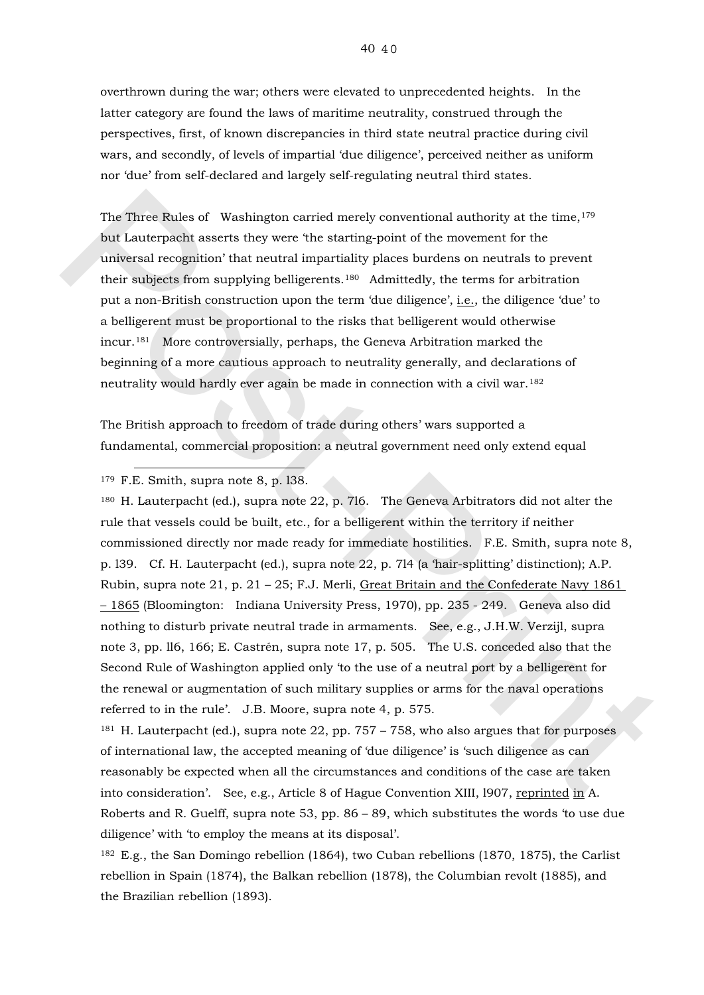overthrown during the war; others were elevated to unprecedented heights. In the latter category are found the laws of maritime neutrality, construed through the perspectives, first, of known discrepancies in third state neutral practice during civil wars, and secondly, of levels of impartial 'due diligence', perceived neither as uniform nor 'due' from self-declared and largely self-regulating neutral third states.

The Three Rules of Washington carried merely conventional authority at the time,  $179$ but Lauterpacht asserts they were 'the starting-point of the movement for the universal recognition' that neutral impartiality places burdens on neutrals to prevent their subjects from supplying belligerents.180 Admittedly, the terms for arbitration put a non-British construction upon the term 'due diligence', i.e., the diligence 'due' to a belligerent must be proportional to the risks that belligerent would otherwise incur.181 More controversially, perhaps, the Geneva Arbitration marked the beginning of a more cautious approach to neutrality generally, and declarations of neutrality would hardly ever again be made in connection with a civil war.182

The British approach to freedom of trade during others' wars supported a fundamental, commercial proposition: a neutral government need only extend equal

<span id="page-39-1"></span><span id="page-39-0"></span>179 F.E. Smith, supra note 8, p. l38.

180 H. Lauterpacht (ed.), supra note 22, p. 7l6. The Geneva Arbitrators did not alter the rule that vessels could be built, etc., for a belligerent within the territory if neither commissioned directly nor made ready for immediate hostilities. F.E. Smith, supra note 8, p. l39. Cf. H. Lauterpacht (ed.), supra note 22, p. 7l4 (a 'hair-splitting' distinction); A.P. Rubin, supra note 21, p. 21 – 25; F.J. Merli, Great Britain and the Confederate Navy 1861 – 1865 (Bloomington: Indiana University Press, 1970), pp. 235 - 249. Geneva also did nothing to disturb private neutral trade in armaments. See, e.g., J.H.W. Verzijl, supra note 3, pp. ll6, 166; E. Castrén, supra note 17, p. 505. The U.S. conceded also that the Second Rule of Washington applied only 'to the use of a neutral port by a belligerent for the renewal or augmentation of such military supplies or arms for the naval operations referred to in the rule'. J.B. Moore, supra note 4, p. 575. The Three Rules of Washington carried merely conventional authority at the time, <sup>179</sup><br>but Lauterpachi asserts they were the starting point of the movement for the<br>uniformalism consignition that neutral impartiality place

<span id="page-39-2"></span> $181$  H. Lauterpacht (ed.), supra note 22, pp. 757 – 758, who also argues that for purposes of international law, the accepted meaning of 'due diligence' is 'such diligence as can reasonably be expected when all the circumstances and conditions of the case are taken into consideration'. See, e.g., Article 8 of Hague Convention XIII, 1907, reprinted in A. Roberts and R. Guelff, supra note 53, pp. 86 – 89, which substitutes the words 'to use due diligence' with 'to employ the means at its disposal'.

<span id="page-39-3"></span>182 E.g., the San Domingo rebellion (1864), two Cuban rebellions (1870, 1875), the Carlist rebellion in Spain (1874), the Balkan rebellion (1878), the Columbian revolt (1885), and the Brazilian rebellion (1893).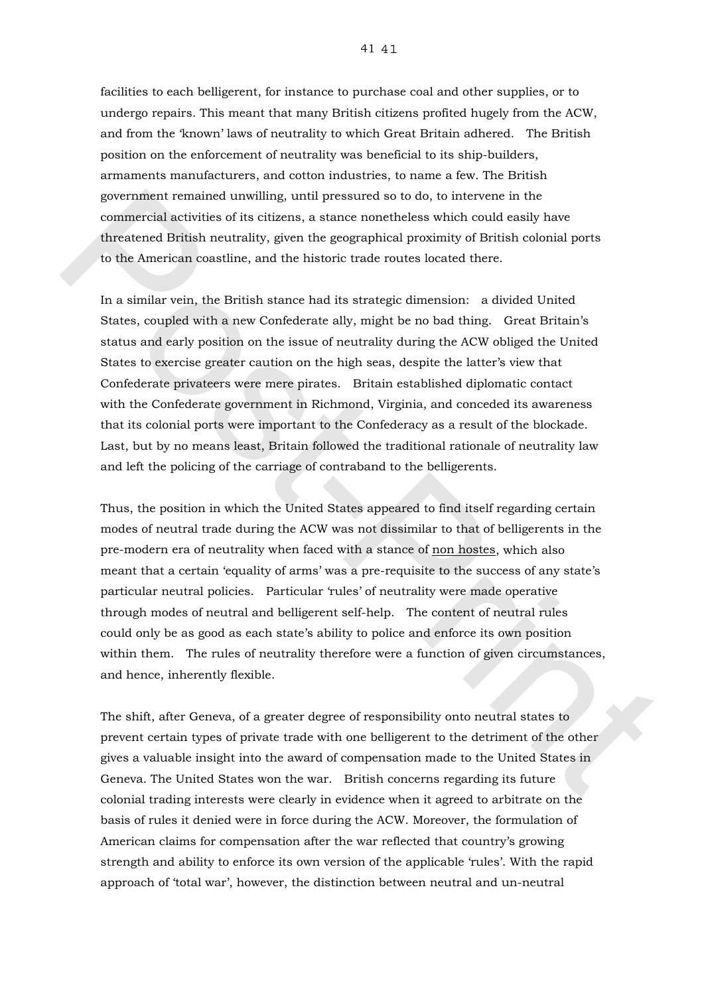facilities to each belligerent, for instance to purchase coal and other supplies, or to undergo repairs. This meant that many British citizens profited hugely from the ACW, and from the 'known' laws of neutrality to which Great Britain adhered. The British position on the enforcement of neutrality was beneficial to its ship-builders, armaments manufacturers, and cotton industries, to name a few. The British government remained unwilling, until pressured so to do, to intervene in the commercial activities of its citizens, a stance nonetheless which could easily have threatened British neutrality, given the geographical proximity of British colonial ports to the American coastline, and the historic trade routes located there.

In a similar vein, the British stance had its strategic dimension: a divided United States, coupled with a new Confederate ally, might be no bad thing. Great Britain's status and early position on the issue of neutrality during the ACW obliged the United States to exercise greater caution on the high seas, despite the latter's view that Confederate privateers were mere pirates. Britain established diplomatic contact with the Confederate government in Richmond, Virginia, and conceded its awareness that its colonial ports were important to the Confederacy as a result of the blockade. Last, but by no means least, Britain followed the traditional rationale of neutrality law and left the policing of the carriage of contraband to the belligerents.

Thus, the position in which the United States appeared to find itself regarding certain modes of neutral trade during the ACW was not dissimilar to that of belligerents in the pre-modern era of neutrality when faced with a stance of non hostes, which also meant that a certain 'equality of arms' was a pre-requisite to the success of any state's particular neutral policies. Particular 'rules' of neutrality were made operative through modes of neutral and belligerent self-help. The content of neutral rules could only be as good as each state's ability to police and enforce its own position within them. The rules of neutrality therefore were a function of given circumstances, and hence, inherently flexible. government remained unwilling, until presearces so to do, to interest in the charge and the other in the charge and the charge and the charge of the American coantiline, and the interpretent proximity of British chonial pr

The shift, after Geneva, of a greater degree of responsibility onto neutral states to prevent certain types of private trade with one belligerent to the detriment of the other gives a valuable insight into the award of compensation made to the United States in Geneva. The United States won the war. British concerns regarding its future colonial trading interests were clearly in evidence when it agreed to arbitrate on the basis of rules it denied were in force during the ACW. Moreover, the formulation of American claims for compensation after the war reflected that country's growing strength and ability to enforce its own version of the applicable 'rules'. With the rapid approach of 'total war', however, the distinction between neutral and un-neutral